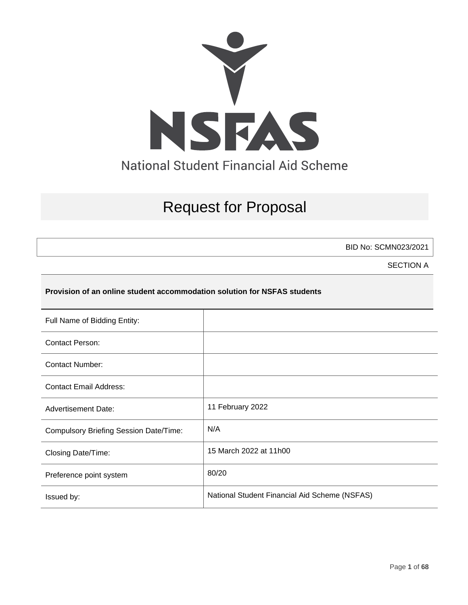

# Request for Proposal

BID No: SCMN023/2021

SECTION A

#### **Provision of an online student accommodation solution for NSFAS students**

| Full Name of Bidding Entity:           |                                               |
|----------------------------------------|-----------------------------------------------|
| <b>Contact Person:</b>                 |                                               |
| <b>Contact Number:</b>                 |                                               |
| <b>Contact Email Address:</b>          |                                               |
| <b>Advertisement Date:</b>             | 11 February 2022                              |
| Compulsory Briefing Session Date/Time: | N/A                                           |
| Closing Date/Time:                     | 15 March 2022 at 11h00                        |
| Preference point system                | 80/20                                         |
| Issued by:                             | National Student Financial Aid Scheme (NSFAS) |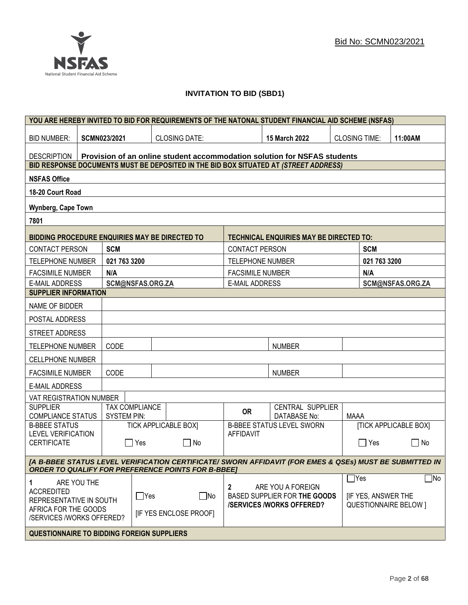

## **INVITATION TO BID (SBD1)**

|                                                                                                                                                                      | YOU ARE HEREBY INVITED TO BID FOR REQUIREMENTS OF THE NATONAL STUDENT FINANCIAL AID SCHEME (NSFAS) |                  |                             |                                                   |                                                                          |                           |                              |                              |
|----------------------------------------------------------------------------------------------------------------------------------------------------------------------|----------------------------------------------------------------------------------------------------|------------------|-----------------------------|---------------------------------------------------|--------------------------------------------------------------------------|---------------------------|------------------------------|------------------------------|
| <b>BID NUMBER:</b>                                                                                                                                                   | <b>SCMN023/2021</b>                                                                                |                  | <b>CLOSING DATE:</b>        |                                                   | 15 March 2022                                                            | <b>CLOSING TIME:</b>      |                              | 11:00AM                      |
| DESCRIPTION                                                                                                                                                          |                                                                                                    |                  |                             |                                                   | Provision of an online student accommodation solution for NSFAS students |                           |                              |                              |
| BID RESPONSE DOCUMENTS MUST BE DEPOSITED IN THE BID BOX SITUATED AT (STREET ADDRESS)                                                                                 |                                                                                                    |                  |                             |                                                   |                                                                          |                           |                              |                              |
| <b>NSFAS Office</b>                                                                                                                                                  |                                                                                                    |                  |                             |                                                   |                                                                          |                           |                              |                              |
| 18-20 Court Road                                                                                                                                                     |                                                                                                    |                  |                             |                                                   |                                                                          |                           |                              |                              |
| Wynberg, Cape Town                                                                                                                                                   |                                                                                                    |                  |                             |                                                   |                                                                          |                           |                              |                              |
| 7801                                                                                                                                                                 |                                                                                                    |                  |                             |                                                   |                                                                          |                           |                              |                              |
| <b>BIDDING PROCEDURE ENQUIRIES MAY BE DIRECTED TO</b>                                                                                                                |                                                                                                    |                  |                             |                                                   | <b>TECHNICAL ENQUIRIES MAY BE DIRECTED TO:</b>                           |                           |                              |                              |
| <b>CONTACT PERSON</b>                                                                                                                                                | <b>SCM</b>                                                                                         |                  |                             | <b>CONTACT PERSON</b>                             |                                                                          |                           | <b>SCM</b>                   |                              |
| TELEPHONE NUMBER                                                                                                                                                     | 021 763 3200                                                                                       |                  |                             | <b>TELEPHONE NUMBER</b>                           |                                                                          |                           | 021 763 3200                 |                              |
| <b>FACSIMILE NUMBER</b>                                                                                                                                              | N/A                                                                                                |                  |                             | <b>FACSIMILE NUMBER</b>                           |                                                                          |                           | N/A                          |                              |
| <b>E-MAIL ADDRESS</b>                                                                                                                                                |                                                                                                    | SCM@NSFAS.ORG.ZA |                             | <b>E-MAIL ADDRESS</b>                             |                                                                          |                           |                              | SCM@NSFAS.ORG.ZA             |
| <b>SUPPLIER INFORMATION</b>                                                                                                                                          |                                                                                                    |                  |                             |                                                   |                                                                          |                           |                              |                              |
| NAME OF BIDDER                                                                                                                                                       |                                                                                                    |                  |                             |                                                   |                                                                          |                           |                              |                              |
| POSTAL ADDRESS                                                                                                                                                       |                                                                                                    |                  |                             |                                                   |                                                                          |                           |                              |                              |
| STREET ADDRESS                                                                                                                                                       |                                                                                                    |                  |                             |                                                   |                                                                          |                           |                              |                              |
| <b>NUMBER</b><br>CODE<br><b>TELEPHONE NUMBER</b>                                                                                                                     |                                                                                                    |                  |                             |                                                   |                                                                          |                           |                              |                              |
| <b>CELLPHONE NUMBER</b>                                                                                                                                              |                                                                                                    |                  |                             |                                                   |                                                                          |                           |                              |                              |
| <b>FACSIMILE NUMBER</b>                                                                                                                                              | CODE                                                                                               |                  |                             |                                                   | <b>NUMBER</b>                                                            |                           |                              |                              |
| <b>E-MAIL ADDRESS</b>                                                                                                                                                |                                                                                                    |                  |                             |                                                   |                                                                          |                           |                              |                              |
| VAT REGISTRATION NUMBER                                                                                                                                              |                                                                                                    |                  |                             |                                                   |                                                                          |                           |                              |                              |
| <b>SUPPLIER</b><br>COMPLIANCE STATUS                                                                                                                                 | <b>SYSTEM PIN:</b>                                                                                 | TAX COMPLIANCE   |                             | <b>OR</b>                                         | CENTRAL SUPPLIER<br>DATABASE No:                                         | MAAA                      |                              |                              |
| <b>B-BBEE STATUS</b>                                                                                                                                                 |                                                                                                    |                  | <b>TICK APPLICABLE BOX]</b> |                                                   | <b>B-BBEE STATUS LEVEL SWORN</b>                                         |                           |                              | <b>[TICK APPLICABLE BOX]</b> |
| <b>LEVEL VERIFICATION</b><br><b>CERTIFICATE</b>                                                                                                                      |                                                                                                    | Yes              | No                          | <b>AFFIDAVIT</b>                                  |                                                                          |                           | Yes                          | No<br>$\sim$                 |
|                                                                                                                                                                      |                                                                                                    |                  |                             |                                                   |                                                                          |                           |                              |                              |
| [A B-BBEE STATUS LEVEL VERIFICATION CERTIFICATE/ SWORN AFFIDAVIT (FOR EMES & QSEs) MUST BE SUBMITTED IN<br><b>ORDER TO QUALIFY FOR PREFERENCE POINTS FOR B-BBEE]</b> |                                                                                                    |                  |                             |                                                   |                                                                          |                           |                              |                              |
| ARE YOU THE<br>1.                                                                                                                                                    |                                                                                                    |                  |                             |                                                   |                                                                          |                           | $\exists$ Yes                | $\exists$ No                 |
| <b>ACCREDITED</b><br>$\Box$ Yes                                                                                                                                      |                                                                                                    | $\square$ No     | $\mathbf{2}$                | ARE YOU A FOREIGN<br>BASED SUPPLIER FOR THE GOODS |                                                                          | <b>IF YES, ANSWER THE</b> |                              |                              |
| REPRESENTATIVE IN SOUTH<br>AFRICA FOR THE GOODS                                                                                                                      |                                                                                                    |                  |                             | <b>/SERVICES/WORKS OFFERED?</b>                   |                                                                          |                           | <b>QUESTIONNAIRE BELOW 1</b> |                              |
| [IF YES ENCLOSE PROOF]<br>/SERVICES /WORKS OFFERED?                                                                                                                  |                                                                                                    |                  |                             |                                                   |                                                                          |                           |                              |                              |
| <b>QUESTIONNAIRE TO BIDDING FOREIGN SUPPLIERS</b>                                                                                                                    |                                                                                                    |                  |                             |                                                   |                                                                          |                           |                              |                              |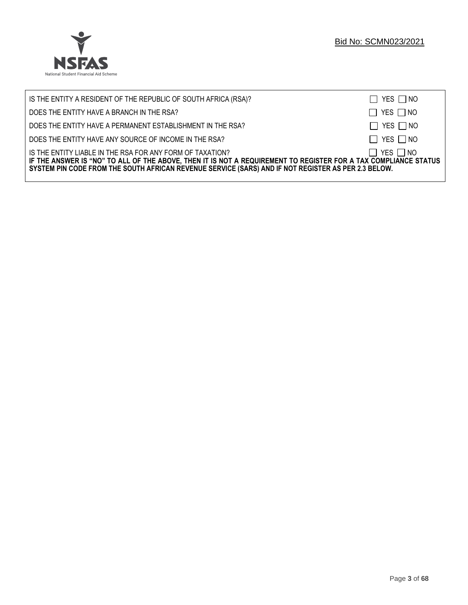

| IS THE ENTITY A RESIDENT OF THE REPUBLIC OF SOUTH AFRICA (RSA)?                                                                                                                                                                                                                     | $\Box$ YES $\Box$ NO |
|-------------------------------------------------------------------------------------------------------------------------------------------------------------------------------------------------------------------------------------------------------------------------------------|----------------------|
| DOES THE ENTITY HAVE A BRANCH IN THE RSA?                                                                                                                                                                                                                                           | $\Box$ YES $\Box$ NO |
| DOES THE ENTITY HAVE A PERMANENT ESTABLISHMENT IN THE RSA?                                                                                                                                                                                                                          | $\Box$ YES $\Box$ NO |
| DOES THE ENTITY HAVE ANY SOURCE OF INCOME IN THE RSA?                                                                                                                                                                                                                               | $\Box$ YES $\Box$ NO |
| IS THE ENTITY LIABLE IN THE RSA FOR ANY FORM OF TAXATION?<br>IF THE ANSWER IS "NO" TO ALL OF THE ABOVE, THEN IT IS NOT A REQUIREMENT TO REGISTER FOR A TAX COMPLIANCE STATUS<br>SYSTEM PIN CODE FROM THE SOUTH AFRICAN REVENUE SERVICE (SARS) AND IF NOT REGISTER AS PER 2.3 BELOW. | $\Box$ YES $\Box$ NO |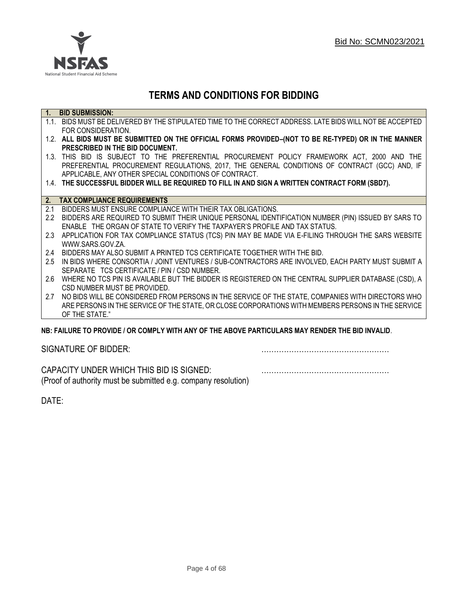

## **TERMS AND CONDITIONS FOR BIDDING**

| 1.               | <b>BID SUBMISSION:</b>                                                                                    |
|------------------|-----------------------------------------------------------------------------------------------------------|
|                  | 1.1. BIDS MUST BE DELIVERED BY THE STIPULATED TIME TO THE CORRECT ADDRESS. LATE BIDS WILL NOT BE ACCEPTED |
|                  | FOR CONSIDERATION.                                                                                        |
|                  | 1.2. ALL BIDS MUST BE SUBMITTED ON THE OFFICIAL FORMS PROVIDED-(NOT TO BE RE-TYPED) OR IN THE MANNER      |
|                  | PRESCRIBED IN THE BID DOCUMENT.                                                                           |
|                  | 1.3. THIS BID IS SUBJECT TO THE PREFERENTIAL PROCUREMENT POLICY FRAMEWORK ACT, 2000 AND THE               |
|                  | PREFERENTIAL PROCUREMENT REGULATIONS, 2017, THE GENERAL CONDITIONS OF CONTRACT (GCC) AND, IF              |
|                  | APPLICABLE, ANY OTHER SPECIAL CONDITIONS OF CONTRACT.                                                     |
|                  | 1.4. THE SUCCESSFUL BIDDER WILL BE REQUIRED TO FILL IN AND SIGN A WRITTEN CONTRACT FORM (SBD7).           |
|                  |                                                                                                           |
| 2.               | <b>TAX COMPLIANCE REQUIREMENTS</b>                                                                        |
| 2.1              | BIDDERS MUST ENSURE COMPLIANCE WITH THEIR TAX OBLIGATIONS.                                                |
| $2.2\phantom{0}$ | BIDDERS ARE REQUIRED TO SUBMIT THEIR UNIQUE PERSONAL IDENTIFICATION NUMBER (PIN) ISSUED BY SARS TO        |
|                  | ENABLE THE ORGAN OF STATE TO VERIFY THE TAXPAYER'S PROFILE AND TAX STATUS.                                |
| 2.3              | APPLICATION FOR TAX COMPLIANCE STATUS (TCS) PIN MAY BE MADE VIA E-FILING THROUGH THE SARS WEBSITE         |
|                  | WWW.SARS.GOV.ZA.                                                                                          |
| 2.4              | BIDDERS MAY ALSO SUBMIT A PRINTED TCS CERTIFICATE TOGETHER WITH THE BID.                                  |
| 2.5              | IN BIDS WHERE CONSORTIA / JOINT VENTURES / SUB-CONTRACTORS ARE INVOLVED, EACH PARTY MUST SUBMIT A         |
|                  | SEPARATE TCS CERTIFICATE / PIN / CSD NUMBER.                                                              |
| 2.6              | WHERE NO TCS PIN IS AVAILABLE BUT THE BIDDER IS REGISTERED ON THE CENTRAL SUPPLIER DATABASE (CSD), A      |
|                  | CSD NUMBER MUST BE PROVIDED.                                                                              |
| 2.7              | NO BIDS WILL BE CONSIDERED FROM PERSONS IN THE SERVICE OF THE STATE, COMPANIES WITH DIRECTORS WHO         |
|                  | ARE PERSONS IN THE SERVICE OF THE STATE, OR CLOSE CORPORATIONS WITH MEMBERS PERSONS IN THE SERVICE        |
|                  | OF THE STATE."                                                                                            |

#### **NB: FAILURE TO PROVIDE / OR COMPLY WITH ANY OF THE ABOVE PARTICULARS MAY RENDER THE BID INVALID**.

| SIGNATURE OF BIDDER: |  |
|----------------------|--|
|                      |  |

CAPACITY UNDER WHICH THIS BID IS SIGNED: …………………………………………… (Proof of authority must be submitted e.g. company resolution)

DATE: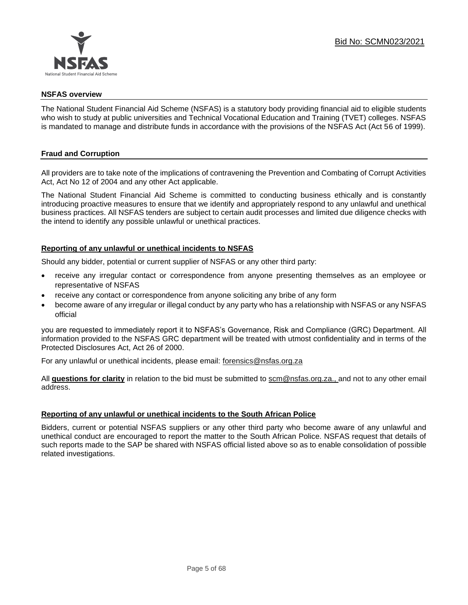

#### **NSFAS overview**

The National Student Financial Aid Scheme (NSFAS) is a statutory body providing financial aid to eligible students who wish to study at public universities and Technical Vocational Education and Training (TVET) colleges. NSFAS is mandated to manage and distribute funds in accordance with the provisions of the NSFAS Act (Act 56 of 1999).

#### **Fraud and Corruption**

All providers are to take note of the implications of contravening the Prevention and Combating of Corrupt Activities Act, Act No 12 of 2004 and any other Act applicable.

The National Student Financial Aid Scheme is committed to conducting business ethically and is constantly introducing proactive measures to ensure that we identify and appropriately respond to any unlawful and unethical business practices. All NSFAS tenders are subject to certain audit processes and limited due diligence checks with the intend to identify any possible unlawful or unethical practices.

#### **Reporting of any unlawful or unethical incidents to NSFAS**

Should any bidder, potential or current supplier of NSFAS or any other third party:

- receive any irregular contact or correspondence from anyone presenting themselves as an employee or representative of NSFAS
- receive any contact or correspondence from anyone soliciting any bribe of any form
- become aware of any irregular or illegal conduct by any party who has a relationship with NSFAS or any NSFAS official

you are requested to immediately report it to NSFAS's Governance, Risk and Compliance (GRC) Department. All information provided to the NSFAS GRC department will be treated with utmost confidentiality and in terms of the Protected Disclosures Act, Act 26 of 2000.

For any unlawful or unethical incidents, please email: [forensics@nsfas.org.za](mailto:forensics@nsfas.org.za)

All **questions for clarity** in relation to the bid must be submitted to [scm@nsfas.org.za.](mailto:scm@nsfas.org.za), and not to any other email address.

#### **Reporting of any unlawful or unethical incidents to the South African Police**

Bidders, current or potential NSFAS suppliers or any other third party who become aware of any unlawful and unethical conduct are encouraged to report the matter to the South African Police. NSFAS request that details of such reports made to the SAP be shared with NSFAS official listed above so as to enable consolidation of possible related investigations.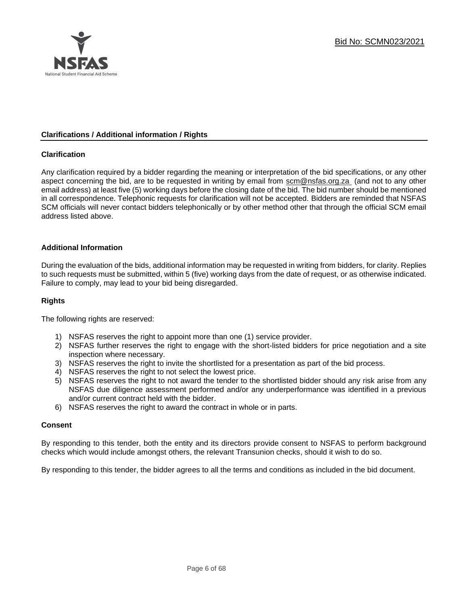

#### **Clarifications / Additional information / Rights**

#### **Clarification**

Any clarification required by a bidder regarding the meaning or interpretation of the bid specifications, or any other aspect concerning the bid, are to be requested in writing by email from [scm@nsfas.org.za](mailto:scm@nsfas.org.za) (and not to any other email address) at least five (5) working days before the closing date of the bid. The bid number should be mentioned in all correspondence. Telephonic requests for clarification will not be accepted. Bidders are reminded that NSFAS SCM officials will never contact bidders telephonically or by other method other that through the official SCM email address listed above.

#### **Additional Information**

During the evaluation of the bids, additional information may be requested in writing from bidders, for clarity. Replies to such requests must be submitted, within 5 (five) working days from the date of request, or as otherwise indicated. Failure to comply, may lead to your bid being disregarded.

#### **Rights**

The following rights are reserved:

- 1) NSFAS reserves the right to appoint more than one (1) service provider.
- 2) NSFAS further reserves the right to engage with the short-listed bidders for price negotiation and a site inspection where necessary.
- 3) NSFAS reserves the right to invite the shortlisted for a presentation as part of the bid process.
- 4) NSFAS reserves the right to not select the lowest price.
- 5) NSFAS reserves the right to not award the tender to the shortlisted bidder should any risk arise from any NSFAS due diligence assessment performed and/or any underperformance was identified in a previous and/or current contract held with the bidder.
- 6) NSFAS reserves the right to award the contract in whole or in parts.

#### **Consent**

By responding to this tender, both the entity and its directors provide consent to NSFAS to perform background checks which would include amongst others, the relevant Transunion checks, should it wish to do so.

By responding to this tender, the bidder agrees to all the terms and conditions as included in the bid document.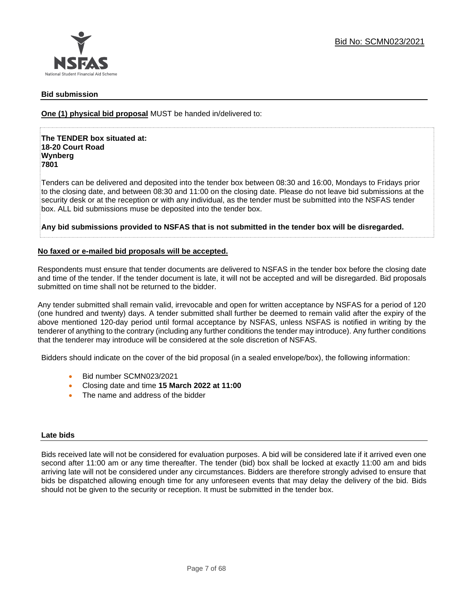

#### **Bid submission**

**One (1) physical bid proposal** MUST be handed in/delivered to:

**The TENDER box situated at: 18-20 Court Road Wynberg 7801**

Tenders can be delivered and deposited into the tender box between 08:30 and 16:00, Mondays to Fridays prior to the closing date, and between 08:30 and 11:00 on the closing date. Please do not leave bid submissions at the security desk or at the reception or with any individual, as the tender must be submitted into the NSFAS tender box. ALL bid submissions muse be deposited into the tender box.

**Any bid submissions provided to NSFAS that is not submitted in the tender box will be disregarded.**

#### **No faxed or e-mailed bid proposals will be accepted.**

Respondents must ensure that tender documents are delivered to NSFAS in the tender box before the closing date and time of the tender. If the tender document is late, it will not be accepted and will be disregarded. Bid proposals submitted on time shall not be returned to the bidder.

Any tender submitted shall remain valid, irrevocable and open for written acceptance by NSFAS for a period of 120 (one hundred and twenty) days. A tender submitted shall further be deemed to remain valid after the expiry of the above mentioned 120-day period until formal acceptance by NSFAS, unless NSFAS is notified in writing by the tenderer of anything to the contrary (including any further conditions the tender may introduce). Any further conditions that the tenderer may introduce will be considered at the sole discretion of NSFAS.

Bidders should indicate on the cover of the bid proposal (in a sealed envelope/box), the following information:

- Bid number SCMN023/2021
- Closing date and time **15 March 2022 at 11:00**
- The name and address of the bidder

#### **Late bids**

Bids received late will not be considered for evaluation purposes. A bid will be considered late if it arrived even one second after 11:00 am or any time thereafter. The tender (bid) box shall be locked at exactly 11:00 am and bids arriving late will not be considered under any circumstances. Bidders are therefore strongly advised to ensure that bids be dispatched allowing enough time for any unforeseen events that may delay the delivery of the bid. Bids should not be given to the security or reception. It must be submitted in the tender box.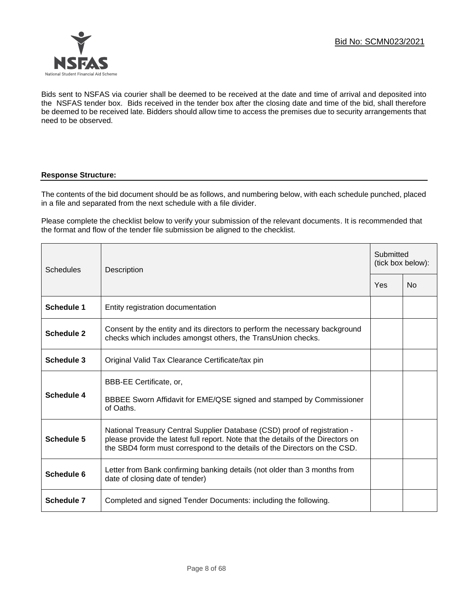

Bids sent to NSFAS via courier shall be deemed to be received at the date and time of arrival and deposited into the NSFAS tender box. Bids received in the tender box after the closing date and time of the bid, shall therefore be deemed to be received late. Bidders should allow time to access the premises due to security arrangements that need to be observed.

#### **Response Structure:**

The contents of the bid document should be as follows, and numbering below, with each schedule punched, placed in a file and separated from the next schedule with a file divider.

Please complete the checklist below to verify your submission of the relevant documents. It is recommended that the format and flow of the tender file submission be aligned to the checklist.

| Schedules  | Description                                                                                                                                                                                                                                |     | Submitted<br>(tick box below): |  |
|------------|--------------------------------------------------------------------------------------------------------------------------------------------------------------------------------------------------------------------------------------------|-----|--------------------------------|--|
|            |                                                                                                                                                                                                                                            | Yes | Nο                             |  |
| Schedule 1 | Entity registration documentation                                                                                                                                                                                                          |     |                                |  |
| Schedule 2 | Consent by the entity and its directors to perform the necessary background<br>checks which includes amongst others, the TransUnion checks.                                                                                                |     |                                |  |
| Schedule 3 | Original Valid Tax Clearance Certificate/tax pin                                                                                                                                                                                           |     |                                |  |
| Schedule 4 | BBB-EE Certificate, or,<br>BBBEE Sworn Affidavit for EME/QSE signed and stamped by Commissioner<br>of Oaths.                                                                                                                               |     |                                |  |
| Schedule 5 | National Treasury Central Supplier Database (CSD) proof of registration -<br>please provide the latest full report. Note that the details of the Directors on<br>the SBD4 form must correspond to the details of the Directors on the CSD. |     |                                |  |
| Schedule 6 | Letter from Bank confirming banking details (not older than 3 months from<br>date of closing date of tender)                                                                                                                               |     |                                |  |
| Schedule 7 | Completed and signed Tender Documents: including the following.                                                                                                                                                                            |     |                                |  |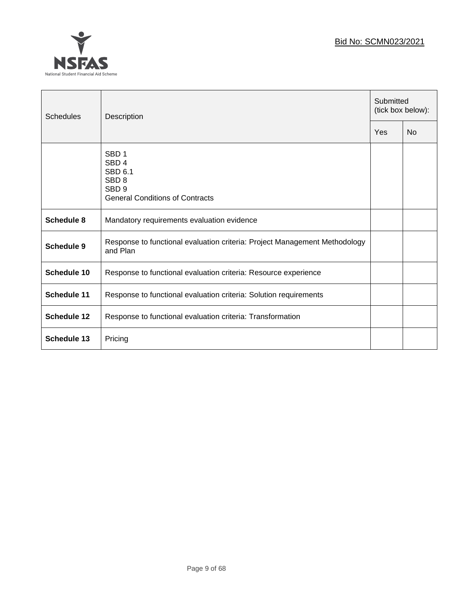## Bid No: SCMN023/2021



| Schedules          | Description                                                                                                                       |  | Submitted<br>(tick box below): |  |
|--------------------|-----------------------------------------------------------------------------------------------------------------------------------|--|--------------------------------|--|
|                    |                                                                                                                                   |  | <b>No</b>                      |  |
|                    | SBD <sub>1</sub><br>SBD <sub>4</sub><br>SBD 6.1<br>SBD <sub>8</sub><br>SBD <sub>9</sub><br><b>General Conditions of Contracts</b> |  |                                |  |
| Schedule 8         | Mandatory requirements evaluation evidence                                                                                        |  |                                |  |
| Schedule 9         | Response to functional evaluation criteria: Project Management Methodology<br>and Plan                                            |  |                                |  |
| <b>Schedule 10</b> | Response to functional evaluation criteria: Resource experience                                                                   |  |                                |  |
| <b>Schedule 11</b> | Response to functional evaluation criteria: Solution requirements                                                                 |  |                                |  |
| Schedule 12        | Response to functional evaluation criteria: Transformation                                                                        |  |                                |  |
| <b>Schedule 13</b> | Pricing                                                                                                                           |  |                                |  |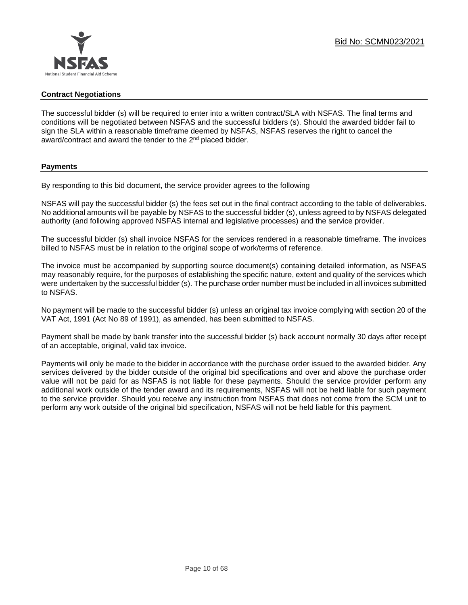

#### **Contract Negotiations**

The successful bidder (s) will be required to enter into a written contract/SLA with NSFAS. The final terms and conditions will be negotiated between NSFAS and the successful bidders (s). Should the awarded bidder fail to sign the SLA within a reasonable timeframe deemed by NSFAS, NSFAS reserves the right to cancel the award/contract and award the tender to the 2<sup>nd</sup> placed bidder.

#### **Payments**

By responding to this bid document, the service provider agrees to the following

NSFAS will pay the successful bidder (s) the fees set out in the final contract according to the table of deliverables. No additional amounts will be payable by NSFAS to the successful bidder (s), unless agreed to by NSFAS delegated authority (and following approved NSFAS internal and legislative processes) and the service provider.

The successful bidder (s) shall invoice NSFAS for the services rendered in a reasonable timeframe. The invoices billed to NSFAS must be in relation to the original scope of work/terms of reference.

The invoice must be accompanied by supporting source document(s) containing detailed information, as NSFAS may reasonably require, for the purposes of establishing the specific nature, extent and quality of the services which were undertaken by the successful bidder (s). The purchase order number must be included in all invoices submitted to NSFAS.

No payment will be made to the successful bidder (s) unless an original tax invoice complying with section 20 of the VAT Act, 1991 (Act No 89 of 1991), as amended, has been submitted to NSFAS.

Payment shall be made by bank transfer into the successful bidder (s) back account normally 30 days after receipt of an acceptable, original, valid tax invoice.

Payments will only be made to the bidder in accordance with the purchase order issued to the awarded bidder. Any services delivered by the bidder outside of the original bid specifications and over and above the purchase order value will not be paid for as NSFAS is not liable for these payments. Should the service provider perform any additional work outside of the tender award and its requirements, NSFAS will not be held liable for such payment to the service provider. Should you receive any instruction from NSFAS that does not come from the SCM unit to perform any work outside of the original bid specification, NSFAS will not be held liable for this payment.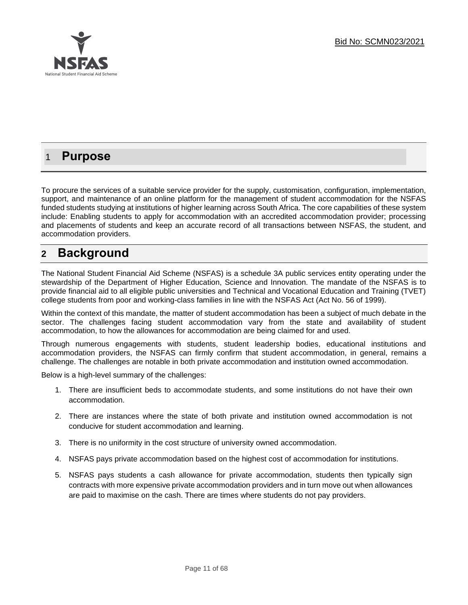

## 1 **Purpose**

To procure the services of a suitable service provider for the supply, customisation, configuration, implementation, support, and maintenance of an online platform for the management of student accommodation for the NSFAS funded students studying at institutions of higher learning across South Africa. The core capabilities of these system include: Enabling students to apply for accommodation with an accredited accommodation provider; processing and placements of students and keep an accurate record of all transactions between NSFAS, the student, and accommodation providers.

## **2 Background**

The National Student Financial Aid Scheme (NSFAS) is a schedule 3A public services entity operating under the stewardship of the Department of Higher Education, Science and Innovation. The mandate of the NSFAS is to provide financial aid to all eligible public universities and Technical and Vocational Education and Training (TVET) college students from poor and working-class families in line with the NSFAS Act (Act No. 56 of 1999).

Within the context of this mandate, the matter of student accommodation has been a subject of much debate in the sector. The challenges facing student accommodation vary from the state and availability of student accommodation, to how the allowances for accommodation are being claimed for and used.

Through numerous engagements with students, student leadership bodies, educational institutions and accommodation providers, the NSFAS can firmly confirm that student accommodation, in general, remains a challenge. The challenges are notable in both private accommodation and institution owned accommodation.

Below is a high-level summary of the challenges:

- 1. There are insufficient beds to accommodate students, and some institutions do not have their own accommodation.
- 2. There are instances where the state of both private and institution owned accommodation is not conducive for student accommodation and learning.
- 3. There is no uniformity in the cost structure of university owned accommodation.
- 4. NSFAS pays private accommodation based on the highest cost of accommodation for institutions.
- 5. NSFAS pays students a cash allowance for private accommodation, students then typically sign contracts with more expensive private accommodation providers and in turn move out when allowances are paid to maximise on the cash. There are times where students do not pay providers.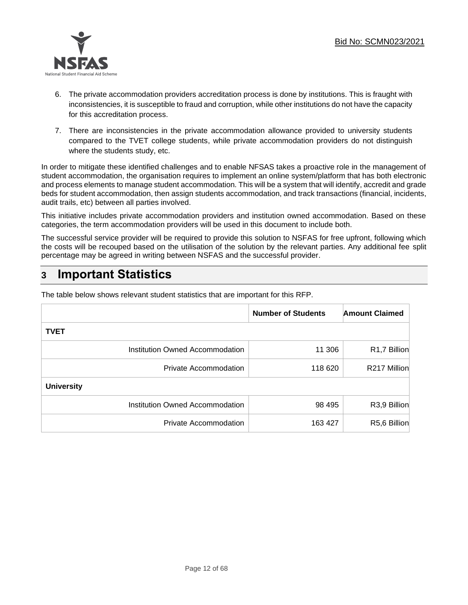

- 6. The private accommodation providers accreditation process is done by institutions. This is fraught with inconsistencies, it is susceptible to fraud and corruption, while other institutions do not have the capacity for this accreditation process.
- 7. There are inconsistencies in the private accommodation allowance provided to university students compared to the TVET college students, while private accommodation providers do not distinguish where the students study, etc.

In order to mitigate these identified challenges and to enable NFSAS takes a proactive role in the management of student accommodation, the organisation requires to implement an online system/platform that has both electronic and process elements to manage student accommodation. This will be a system that will identify, accredit and grade beds for student accommodation, then assign students accommodation, and track transactions (financial, incidents, audit trails, etc) between all parties involved.

This initiative includes private accommodation providers and institution owned accommodation. Based on these categories, the term accommodation providers will be used in this document to include both.

The successful service provider will be required to provide this solution to NSFAS for free upfront, following which the costs will be recouped based on the utilisation of the solution by the relevant parties. Any additional fee split percentage may be agreed in writing between NSFAS and the successful provider.

## **3 Important Statistics**

|                                 | <b>Number of Students</b> | <b>Amount Claimed</b> |
|---------------------------------|---------------------------|-----------------------|
| <b>TVET</b>                     |                           |                       |
| Institution Owned Accommodation | 11 306                    | R1,7 Billion          |
| <b>Private Accommodation</b>    | 118 620                   | R217 Million          |
| <b>University</b>               |                           |                       |
| Institution Owned Accommodation | 98 4 95                   | R3,9 Billion          |
| Private Accommodation           | 163 427                   | R5,6 Billion          |

The table below shows relevant student statistics that are important for this RFP.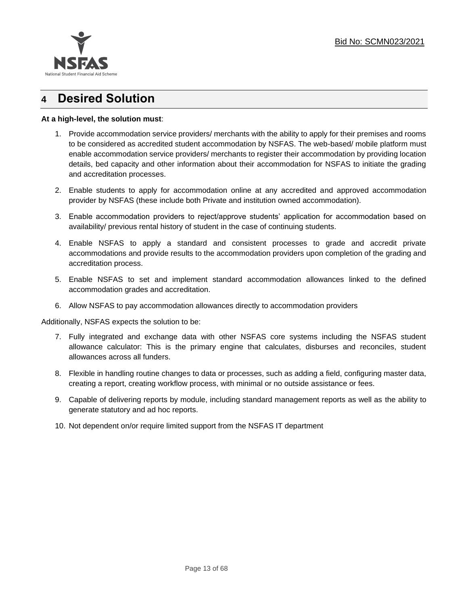

## **4 Desired Solution**

#### **At a high-level, the solution must**:

- 1. Provide accommodation service providers/ merchants with the ability to apply for their premises and rooms to be considered as accredited student accommodation by NSFAS. The web-based/ mobile platform must enable accommodation service providers/ merchants to register their accommodation by providing location details, bed capacity and other information about their accommodation for NSFAS to initiate the grading and accreditation processes.
- 2. Enable students to apply for accommodation online at any accredited and approved accommodation provider by NSFAS (these include both Private and institution owned accommodation).
- 3. Enable accommodation providers to reject/approve students' application for accommodation based on availability/ previous rental history of student in the case of continuing students.
- 4. Enable NSFAS to apply a standard and consistent processes to grade and accredit private accommodations and provide results to the accommodation providers upon completion of the grading and accreditation process.
- 5. Enable NSFAS to set and implement standard accommodation allowances linked to the defined accommodation grades and accreditation.
- 6. Allow NSFAS to pay accommodation allowances directly to accommodation providers

Additionally, NSFAS expects the solution to be:

- 7. Fully integrated and exchange data with other NSFAS core systems including the NSFAS student allowance calculator: This is the primary engine that calculates, disburses and reconciles, student allowances across all funders.
- 8. Flexible in handling routine changes to data or processes, such as adding a field, configuring master data, creating a report, creating workflow process, with minimal or no outside assistance or fees.
- 9. Capable of delivering reports by module, including standard management reports as well as the ability to generate statutory and ad hoc reports.
- 10. Not dependent on/or require limited support from the NSFAS IT department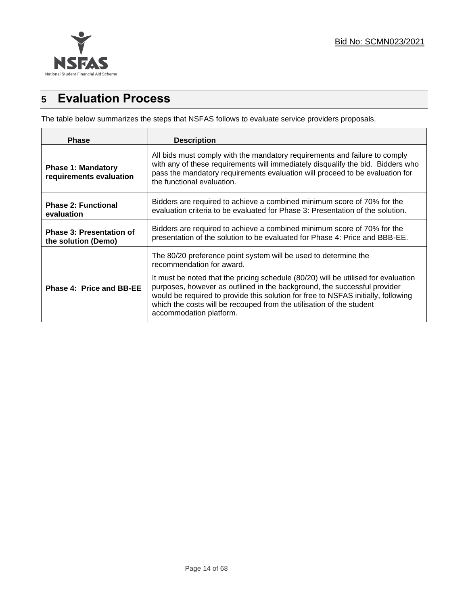

## **5 Evaluation Process**

The table below summarizes the steps that NSFAS follows to evaluate service providers proposals.

| <b>Phase</b>                                           | <b>Description</b>                                                                                                                                                                                                                                                                                                                                     |  |
|--------------------------------------------------------|--------------------------------------------------------------------------------------------------------------------------------------------------------------------------------------------------------------------------------------------------------------------------------------------------------------------------------------------------------|--|
| <b>Phase 1: Mandatory</b><br>requirements evaluation   | All bids must comply with the mandatory requirements and failure to comply<br>with any of these requirements will immediately disqualify the bid. Bidders who<br>pass the mandatory requirements evaluation will proceed to be evaluation for<br>the functional evaluation.                                                                            |  |
| <b>Phase 2: Functional</b><br>evaluation               | Bidders are required to achieve a combined minimum score of 70% for the<br>evaluation criteria to be evaluated for Phase 3: Presentation of the solution.                                                                                                                                                                                              |  |
| <b>Phase 3: Presentation of</b><br>the solution (Demo) | Bidders are required to achieve a combined minimum score of 70% for the<br>presentation of the solution to be evaluated for Phase 4: Price and BBB-EE.                                                                                                                                                                                                 |  |
|                                                        | The 80/20 preference point system will be used to determine the<br>recommendation for award.                                                                                                                                                                                                                                                           |  |
| Phase 4: Price and BB-EE                               | It must be noted that the pricing schedule (80/20) will be utilised for evaluation<br>purposes, however as outlined in the background, the successful provider<br>would be required to provide this solution for free to NSFAS initially, following<br>which the costs will be recouped from the utilisation of the student<br>accommodation platform. |  |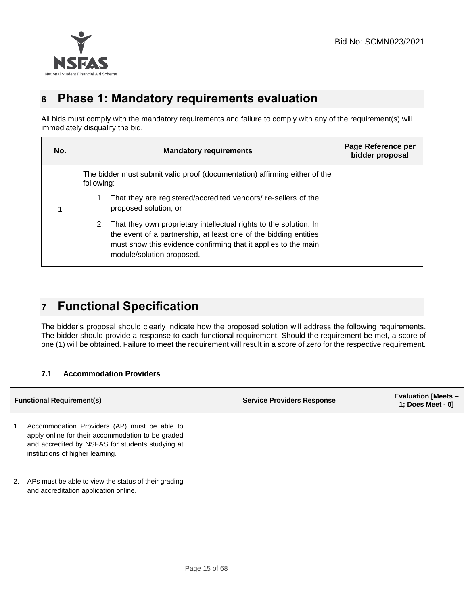

## **6 Phase 1: Mandatory requirements evaluation**

All bids must comply with the mandatory requirements and failure to comply with any of the requirement(s) will immediately disqualify the bid.

| No. |                                                                                               | <b>Mandatory requirements</b>                                                                                                                                                                                                           | Page Reference per<br>bidder proposal |
|-----|-----------------------------------------------------------------------------------------------|-----------------------------------------------------------------------------------------------------------------------------------------------------------------------------------------------------------------------------------------|---------------------------------------|
|     | following:                                                                                    | The bidder must submit valid proof (documentation) affirming either of the                                                                                                                                                              |                                       |
|     | That they are registered/accredited vendors/ re-sellers of the<br>1.<br>proposed solution, or |                                                                                                                                                                                                                                         |                                       |
|     |                                                                                               | 2. That they own proprietary intellectual rights to the solution. In<br>the event of a partnership, at least one of the bidding entities<br>must show this evidence confirming that it applies to the main<br>module/solution proposed. |                                       |

## **7 Functional Specification**

The bidder's proposal should clearly indicate how the proposed solution will address the following requirements. The bidder should provide a response to each functional requirement. Should the requirement be met, a score of one (1) will be obtained. Failure to meet the requirement will result in a score of zero for the respective requirement.

### **7.1 Accommodation Providers**

|    | <b>Functional Requirement(s)</b>                                                                                                                                                          | <b>Service Providers Response</b> | <b>Evaluation [Meets –</b><br>1; Does Meet - 0] |
|----|-------------------------------------------------------------------------------------------------------------------------------------------------------------------------------------------|-----------------------------------|-------------------------------------------------|
|    | Accommodation Providers (AP) must be able to<br>apply online for their accommodation to be graded<br>and accredited by NSFAS for students studying at<br>institutions of higher learning. |                                   |                                                 |
| 2. | APs must be able to view the status of their grading<br>and accreditation application online.                                                                                             |                                   |                                                 |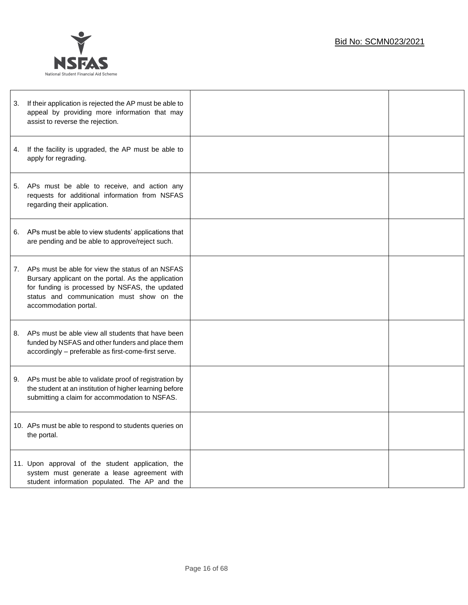

| 3. | If their application is rejected the AP must be able to<br>appeal by providing more information that may<br>assist to reverse the rejection.                                                                                    |  |
|----|---------------------------------------------------------------------------------------------------------------------------------------------------------------------------------------------------------------------------------|--|
| 4. | If the facility is upgraded, the AP must be able to<br>apply for regrading.                                                                                                                                                     |  |
| 5. | APs must be able to receive, and action any<br>requests for additional information from NSFAS<br>regarding their application.                                                                                                   |  |
| 6. | APs must be able to view students' applications that<br>are pending and be able to approve/reject such.                                                                                                                         |  |
| 7. | APs must be able for view the status of an NSFAS<br>Bursary applicant on the portal. As the application<br>for funding is processed by NSFAS, the updated<br>status and communication must show on the<br>accommodation portal. |  |
| 8. | APs must be able view all students that have been<br>funded by NSFAS and other funders and place them<br>accordingly - preferable as first-come-first serve.                                                                    |  |
| 9. | APs must be able to validate proof of registration by<br>the student at an institution of higher learning before<br>submitting a claim for accommodation to NSFAS.                                                              |  |
|    | 10. APs must be able to respond to students queries on<br>the portal.                                                                                                                                                           |  |
|    | 11. Upon approval of the student application, the<br>system must generate a lease agreement with<br>student information populated. The AP and the                                                                               |  |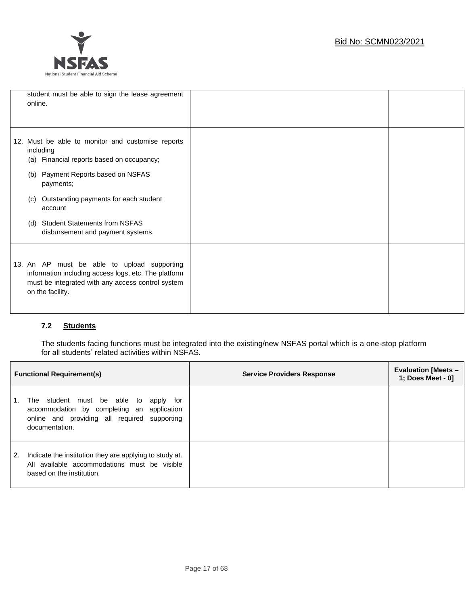

| student must be able to sign the lease agreement<br>online.                                                                                                                  |  |
|------------------------------------------------------------------------------------------------------------------------------------------------------------------------------|--|
|                                                                                                                                                                              |  |
|                                                                                                                                                                              |  |
| 12. Must be able to monitor and customise reports<br>including<br>Financial reports based on occupancy;<br>(a)                                                               |  |
| Payment Reports based on NSFAS<br>(b)<br>payments;                                                                                                                           |  |
| Outstanding payments for each student<br>(C)<br>account                                                                                                                      |  |
| <b>Student Statements from NSFAS</b><br>(d)<br>disbursement and payment systems.                                                                                             |  |
| 13. An AP must be able to upload supporting<br>information including access logs, etc. The platform<br>must be integrated with any access control system<br>on the facility. |  |

### **7.2 Students**

The students facing functions must be integrated into the existing/new NSFAS portal which is a one-stop platform for all students' related activities within NSFAS.

|    | <b>Functional Requirement(s)</b>                                                                                                                         | <b>Service Providers Response</b> | <b>Evaluation [Meets -</b><br>1; Does Meet - 01 |
|----|----------------------------------------------------------------------------------------------------------------------------------------------------------|-----------------------------------|-------------------------------------------------|
|    | The student must be able to<br>apply for<br>accommodation by completing an application<br>online and providing all required supporting<br>documentation. |                                   |                                                 |
| 2. | Indicate the institution they are applying to study at.<br>All available accommodations must be visible<br>based on the institution.                     |                                   |                                                 |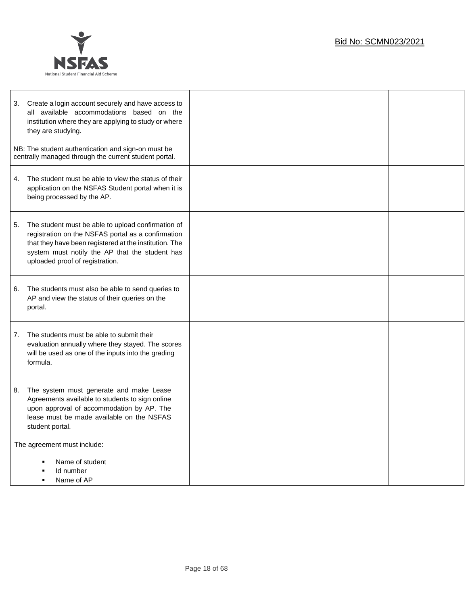

| 3. | Create a login account securely and have access to<br>all available accommodations based on the<br>institution where they are applying to study or where<br>they are studying.                                                                          |  |
|----|---------------------------------------------------------------------------------------------------------------------------------------------------------------------------------------------------------------------------------------------------------|--|
|    | NB: The student authentication and sign-on must be<br>centrally managed through the current student portal.                                                                                                                                             |  |
| 4. | The student must be able to view the status of their<br>application on the NSFAS Student portal when it is<br>being processed by the AP.                                                                                                                |  |
| 5. | The student must be able to upload confirmation of<br>registration on the NSFAS portal as a confirmation<br>that they have been registered at the institution. The<br>system must notify the AP that the student has<br>uploaded proof of registration. |  |
| 6. | The students must also be able to send queries to<br>AP and view the status of their queries on the<br>portal.                                                                                                                                          |  |
| 7. | The students must be able to submit their<br>evaluation annually where they stayed. The scores<br>will be used as one of the inputs into the grading<br>formula.                                                                                        |  |
| 8. | The system must generate and make Lease<br>Agreements available to students to sign online<br>upon approval of accommodation by AP. The<br>lease must be made available on the NSFAS<br>student portal.                                                 |  |
|    | The agreement must include:<br>Name of student<br>Id number                                                                                                                                                                                             |  |
|    | Name of AP                                                                                                                                                                                                                                              |  |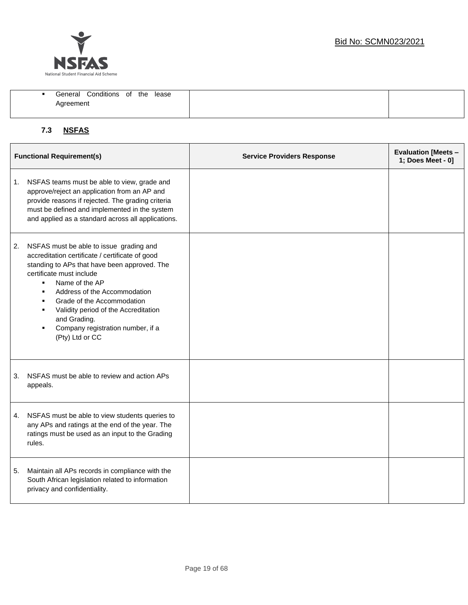

| Conditions of<br>General | the<br>lease |
|--------------------------|--------------|
| Agreement                |              |
|                          |              |

## **7.3 NSFAS**

| <b>Functional Requirement(s)</b> |                                                                                                                                                                                                                                                                                                                                                                                                              | <b>Service Providers Response</b> | <b>Evaluation [Meets -</b><br>1; Does Meet - 0] |
|----------------------------------|--------------------------------------------------------------------------------------------------------------------------------------------------------------------------------------------------------------------------------------------------------------------------------------------------------------------------------------------------------------------------------------------------------------|-----------------------------------|-------------------------------------------------|
|                                  | 1. NSFAS teams must be able to view, grade and<br>approve/reject an application from an AP and<br>provide reasons if rejected. The grading criteria<br>must be defined and implemented in the system<br>and applied as a standard across all applications.                                                                                                                                                   |                                   |                                                 |
| 2.                               | NSFAS must be able to issue grading and<br>accreditation certificate / certificate of good<br>standing to APs that have been approved. The<br>certificate must include<br>Name of the AP<br>$\blacksquare$<br>Address of the Accommodation<br>٠<br>Grade of the Accommodation<br>٠<br>Validity period of the Accreditation<br>٠<br>and Grading.<br>Company registration number, if a<br>٠<br>(Pty) Ltd or CC |                                   |                                                 |
| 3.                               | NSFAS must be able to review and action APs<br>appeals.                                                                                                                                                                                                                                                                                                                                                      |                                   |                                                 |
|                                  | 4. NSFAS must be able to view students queries to<br>any APs and ratings at the end of the year. The<br>ratings must be used as an input to the Grading<br>rules.                                                                                                                                                                                                                                            |                                   |                                                 |
| 5.                               | Maintain all APs records in compliance with the<br>South African legislation related to information<br>privacy and confidentiality.                                                                                                                                                                                                                                                                          |                                   |                                                 |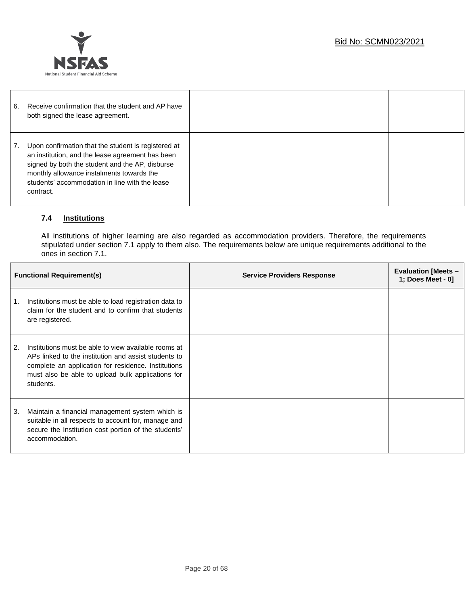

| 6. | Receive confirmation that the student and AP have<br>both signed the lease agreement.                                                                                                                                                                                  |  |
|----|------------------------------------------------------------------------------------------------------------------------------------------------------------------------------------------------------------------------------------------------------------------------|--|
|    | Upon confirmation that the student is registered at<br>an institution, and the lease agreement has been<br>signed by both the student and the AP, disburse<br>monthly allowance instalments towards the<br>students' accommodation in line with the lease<br>contract. |  |

### **7.4 Institutions**

All institutions of higher learning are also regarded as accommodation providers. Therefore, the requirements stipulated under section 7.1 apply to them also. The requirements below are unique requirements additional to the ones in section 7.1.

| <b>Functional Requirement(s)</b> |                                                                                                                                                                                                                                       | <b>Service Providers Response</b> | <b>Evaluation [Meets -</b><br>1; Does Meet - 0] |
|----------------------------------|---------------------------------------------------------------------------------------------------------------------------------------------------------------------------------------------------------------------------------------|-----------------------------------|-------------------------------------------------|
| 1.                               | Institutions must be able to load registration data to<br>claim for the student and to confirm that students<br>are registered.                                                                                                       |                                   |                                                 |
| 2.                               | Institutions must be able to view available rooms at<br>APs linked to the institution and assist students to<br>complete an application for residence. Institutions<br>must also be able to upload bulk applications for<br>students. |                                   |                                                 |
| 3.                               | Maintain a financial management system which is<br>suitable in all respects to account for, manage and<br>secure the Institution cost portion of the students'<br>accommodation.                                                      |                                   |                                                 |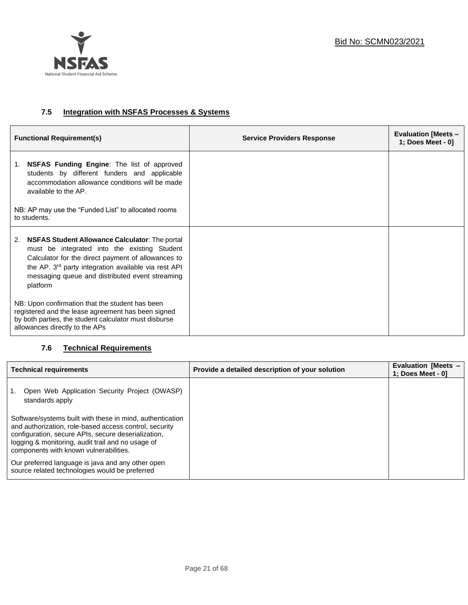

#### **7.5 Integration with NSFAS Processes & Systems**

| <b>Functional Requirement(s)</b>                                                                                                                                                                                                                                                                     | <b>Service Providers Response</b> | <b>Evaluation [Meets -</b><br>1; Does Meet - 0] |
|------------------------------------------------------------------------------------------------------------------------------------------------------------------------------------------------------------------------------------------------------------------------------------------------------|-----------------------------------|-------------------------------------------------|
| NSFAS Funding Engine: The list of approved<br>1.<br>students by different funders and applicable<br>accommodation allowance conditions will be made<br>available to the AP.                                                                                                                          |                                   |                                                 |
| NB: AP may use the "Funded List" to allocated rooms<br>to students.                                                                                                                                                                                                                                  |                                   |                                                 |
| <b>NSFAS Student Allowance Calculator:</b> The portal<br>2.<br>must be integrated into the existing Student<br>Calculator for the direct payment of allowances to<br>the AP. 3 <sup>rd</sup> party integration available via rest API<br>messaging queue and distributed event streaming<br>platform |                                   |                                                 |
| NB: Upon confirmation that the student has been<br>registered and the lease agreement has been signed<br>by both parties, the student calculator must disburse<br>allowances directly to the APs                                                                                                     |                                   |                                                 |

### **7.6 Technical Requirements**

| <b>Technical requirements</b>                                                                                                                                                                                                                                             | Provide a detailed description of your solution | <b>Evaluation [Meets -</b><br>1; Does Meet - 01 |
|---------------------------------------------------------------------------------------------------------------------------------------------------------------------------------------------------------------------------------------------------------------------------|-------------------------------------------------|-------------------------------------------------|
| Open Web Application Security Project (OWASP)<br>standards apply                                                                                                                                                                                                          |                                                 |                                                 |
| Software/systems built with these in mind, authentication<br>and authorization, role-based access control, security<br>configuration, secure APIs, secure deserialization,<br>logging & monitoring, audit trail and no usage of<br>components with known vulnerabilities. |                                                 |                                                 |
| Our preferred language is java and any other open<br>source related technologies would be preferred                                                                                                                                                                       |                                                 |                                                 |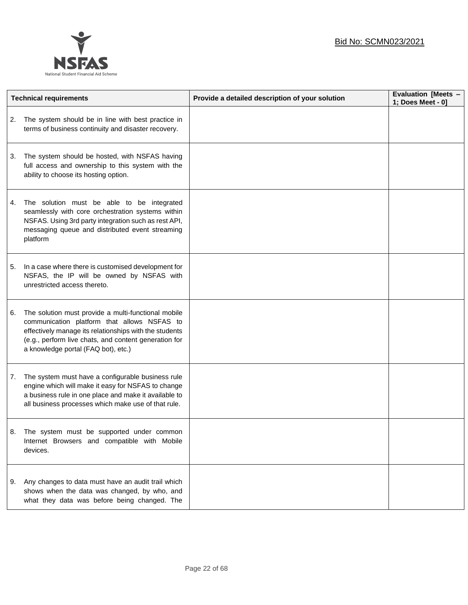

|    | <b>Technical requirements</b>                                                                                                                                                                                                                                | Provide a detailed description of your solution | Evaluation [Meets -<br>1; Does Meet - 0] |
|----|--------------------------------------------------------------------------------------------------------------------------------------------------------------------------------------------------------------------------------------------------------------|-------------------------------------------------|------------------------------------------|
| 2. | The system should be in line with best practice in<br>terms of business continuity and disaster recovery.                                                                                                                                                    |                                                 |                                          |
| 3. | The system should be hosted, with NSFAS having<br>full access and ownership to this system with the<br>ability to choose its hosting option.                                                                                                                 |                                                 |                                          |
| 4. | The solution must be able to be integrated<br>seamlessly with core orchestration systems within<br>NSFAS. Using 3rd party integration such as rest API,<br>messaging queue and distributed event streaming<br>platform                                       |                                                 |                                          |
| 5. | In a case where there is customised development for<br>NSFAS, the IP will be owned by NSFAS with<br>unrestricted access thereto.                                                                                                                             |                                                 |                                          |
| 6. | The solution must provide a multi-functional mobile<br>communication platform that allows NSFAS to<br>effectively manage its relationships with the students<br>(e.g., perform live chats, and content generation for<br>a knowledge portal (FAQ bot), etc.) |                                                 |                                          |
| 7. | The system must have a configurable business rule<br>engine which will make it easy for NSFAS to change<br>a business rule in one place and make it available to<br>all business processes which make use of that rule.                                      |                                                 |                                          |
|    | The system must be supported under common<br>Internet Browsers and compatible with Mobile<br>devices.                                                                                                                                                        |                                                 |                                          |
|    | 9. Any changes to data must have an audit trail which<br>shows when the data was changed, by who, and<br>what they data was before being changed. The                                                                                                        |                                                 |                                          |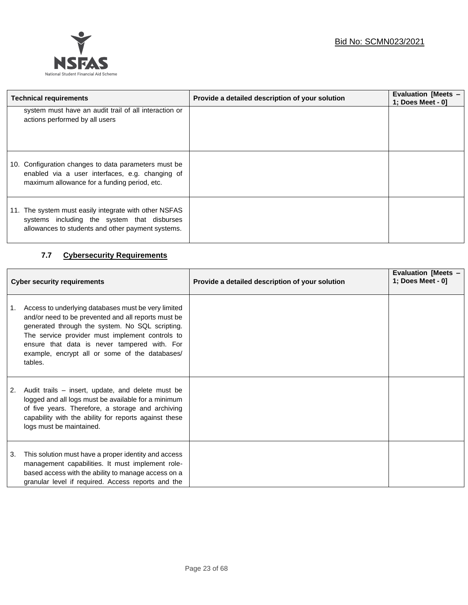

| <b>Technical requirements</b>                                                                                                                             | Provide a detailed description of your solution | <b>Evaluation [Meets -</b><br>1; Does Meet - 0] |
|-----------------------------------------------------------------------------------------------------------------------------------------------------------|-------------------------------------------------|-------------------------------------------------|
| system must have an audit trail of all interaction or<br>actions performed by all users                                                                   |                                                 |                                                 |
| 10. Configuration changes to data parameters must be<br>enabled via a user interfaces, e.g. changing of<br>maximum allowance for a funding period, etc.   |                                                 |                                                 |
| 11. The system must easily integrate with other NSFAS<br>systems including the system that disburses<br>allowances to students and other payment systems. |                                                 |                                                 |

### **7.7 Cybersecurity Requirements**

 $\mathsf{l}$ 

| <b>Cyber security requirements</b> |                                                                                                                                                                                                                                                                                                                               | Provide a detailed description of your solution | <b>Evaluation [Meets -</b><br>1; Does Meet - 0] |
|------------------------------------|-------------------------------------------------------------------------------------------------------------------------------------------------------------------------------------------------------------------------------------------------------------------------------------------------------------------------------|-------------------------------------------------|-------------------------------------------------|
| 1.                                 | Access to underlying databases must be very limited<br>and/or need to be prevented and all reports must be<br>generated through the system. No SQL scripting.<br>The service provider must implement controls to<br>ensure that data is never tampered with. For<br>example, encrypt all or some of the databases/<br>tables. |                                                 |                                                 |
| 2.                                 | Audit trails – insert, update, and delete must be<br>logged and all logs must be available for a minimum<br>of five years. Therefore, a storage and archiving<br>capability with the ability for reports against these<br>logs must be maintained.                                                                            |                                                 |                                                 |
| 3.                                 | This solution must have a proper identity and access<br>management capabilities. It must implement role-<br>based access with the ability to manage access on a<br>granular level if required. Access reports and the                                                                                                         |                                                 |                                                 |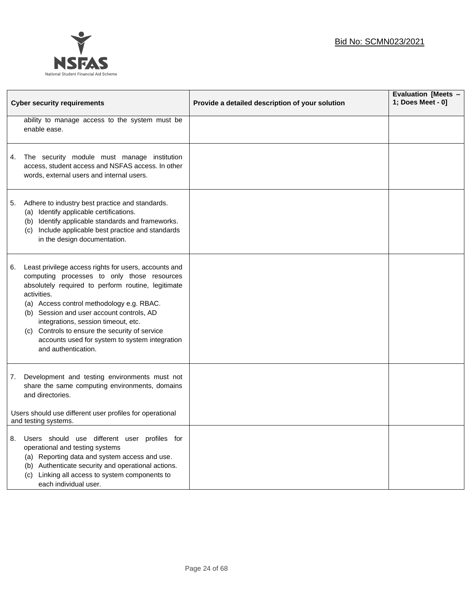

|    |                                                                                                                                                                                                                                                                                                                                                                                                                                       |                                                 | Evaluation [Meets - |
|----|---------------------------------------------------------------------------------------------------------------------------------------------------------------------------------------------------------------------------------------------------------------------------------------------------------------------------------------------------------------------------------------------------------------------------------------|-------------------------------------------------|---------------------|
|    | <b>Cyber security requirements</b>                                                                                                                                                                                                                                                                                                                                                                                                    | Provide a detailed description of your solution | 1; Does Meet - 0]   |
|    | ability to manage access to the system must be<br>enable ease.                                                                                                                                                                                                                                                                                                                                                                        |                                                 |                     |
| 4. | The security module must manage institution<br>access, student access and NSFAS access. In other<br>words, external users and internal users.                                                                                                                                                                                                                                                                                         |                                                 |                     |
| 5. | Adhere to industry best practice and standards.<br>(a) Identify applicable certifications.<br>(b) Identify applicable standards and frameworks.<br>(c) Include applicable best practice and standards<br>in the design documentation.                                                                                                                                                                                                 |                                                 |                     |
| 6. | Least privilege access rights for users, accounts and<br>computing processes to only those resources<br>absolutely required to perform routine, legitimate<br>activities.<br>(a) Access control methodology e.g. RBAC.<br>(b) Session and user account controls, AD<br>integrations, session timeout, etc.<br>(c) Controls to ensure the security of service<br>accounts used for system to system integration<br>and authentication. |                                                 |                     |
| 7. | Development and testing environments must not<br>share the same computing environments, domains<br>and directories.<br>Users should use different user profiles for operational                                                                                                                                                                                                                                                       |                                                 |                     |
|    | and testing systems.                                                                                                                                                                                                                                                                                                                                                                                                                  |                                                 |                     |
| 8. | Users should use different user profiles for<br>operational and testing systems<br>Reporting data and system access and use.<br>(a)<br>Authenticate security and operational actions.<br>(b)<br>Linking all access to system components to<br>(c)<br>each individual user.                                                                                                                                                            |                                                 |                     |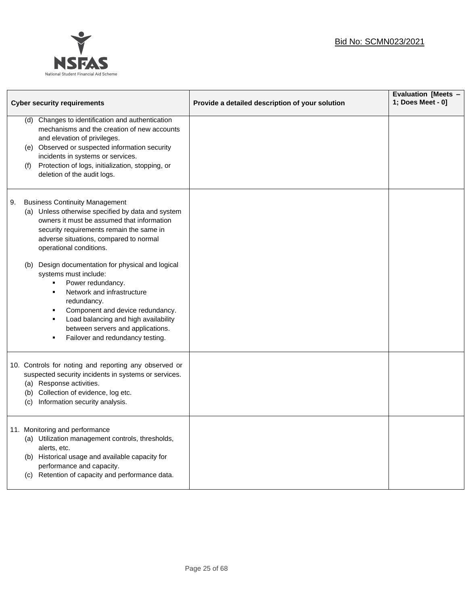### Bid No: SCMN023/2021



| <b>Cyber security requirements</b> |                                                                                                                                                                                                                                                                                                                                                                                                                                                                                                                                                                                                    | Provide a detailed description of your solution | Evaluation [Meets -<br>1; Does Meet - 0] |
|------------------------------------|----------------------------------------------------------------------------------------------------------------------------------------------------------------------------------------------------------------------------------------------------------------------------------------------------------------------------------------------------------------------------------------------------------------------------------------------------------------------------------------------------------------------------------------------------------------------------------------------------|-------------------------------------------------|------------------------------------------|
|                                    | Changes to identification and authentication<br>(d)<br>mechanisms and the creation of new accounts<br>and elevation of privileges.<br>(e) Observed or suspected information security<br>incidents in systems or services.<br>Protection of logs, initialization, stopping, or<br>(f)<br>deletion of the audit logs.                                                                                                                                                                                                                                                                                |                                                 |                                          |
| 9.                                 | <b>Business Continuity Management</b><br>(a) Unless otherwise specified by data and system<br>owners it must be assumed that information<br>security requirements remain the same in<br>adverse situations, compared to normal<br>operational conditions.<br>Design documentation for physical and logical<br>(b)<br>systems must include:<br>Power redundancy.<br>٠<br>Network and infrastructure<br>$\blacksquare$<br>redundancy.<br>Component and device redundancy.<br>٠<br>Load balancing and high availability<br>٠<br>between servers and applications.<br>Failover and redundancy testing. |                                                 |                                          |
|                                    | 10. Controls for noting and reporting any observed or<br>suspected security incidents in systems or services.<br>(a) Response activities.<br>(b) Collection of evidence, log etc.<br>Information security analysis.<br>(c)                                                                                                                                                                                                                                                                                                                                                                         |                                                 |                                          |
|                                    | 11. Monitoring and performance<br>(a) Utilization management controls, thresholds,<br>alerts, etc.<br>(b) Historical usage and available capacity for<br>performance and capacity.<br>(c) Retention of capacity and performance data.                                                                                                                                                                                                                                                                                                                                                              |                                                 |                                          |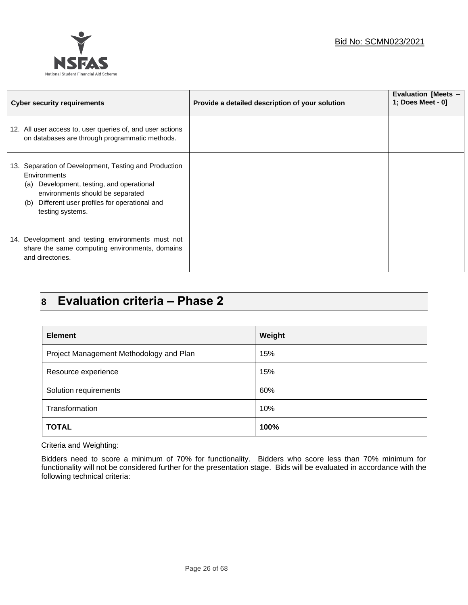



| <b>Cyber security requirements</b>                                                                                                                                                                                                  | Provide a detailed description of your solution | Evaluation [Meets -<br>1; Does Meet - 0] |
|-------------------------------------------------------------------------------------------------------------------------------------------------------------------------------------------------------------------------------------|-------------------------------------------------|------------------------------------------|
| 12. All user access to, user queries of, and user actions<br>on databases are through programmatic methods.                                                                                                                         |                                                 |                                          |
| 13. Separation of Development, Testing and Production<br>Environments<br>Development, testing, and operational<br>(a)<br>environments should be separated<br>Different user profiles for operational and<br>(b)<br>testing systems. |                                                 |                                          |
| 14. Development and testing environments must not<br>share the same computing environments, domains<br>and directories.                                                                                                             |                                                 |                                          |

## **8 Evaluation criteria – Phase 2**

| <b>Element</b>                          | Weight |
|-----------------------------------------|--------|
| Project Management Methodology and Plan | 15%    |
| Resource experience                     | 15%    |
| Solution requirements                   | 60%    |
| Transformation                          | 10%    |
| <b>TOTAL</b>                            | 100%   |

#### Criteria and Weighting:

Bidders need to score a minimum of 70% for functionality. Bidders who score less than 70% minimum for functionality will not be considered further for the presentation stage. Bids will be evaluated in accordance with the following technical criteria: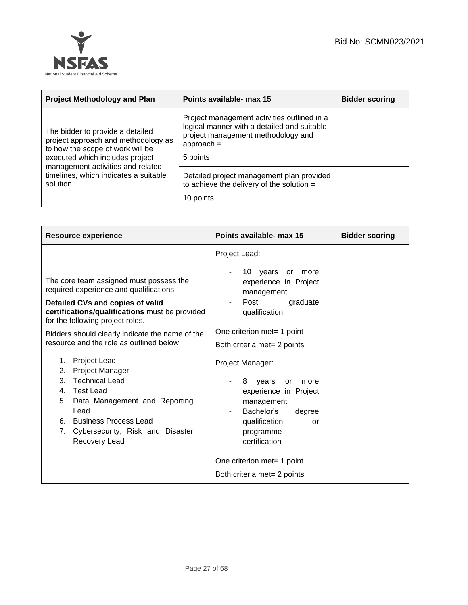

| <b>Project Methodology and Plan</b>                                                                                                                                                 | Points available- max 15                                                                                                                                     | <b>Bidder scoring</b> |
|-------------------------------------------------------------------------------------------------------------------------------------------------------------------------------------|--------------------------------------------------------------------------------------------------------------------------------------------------------------|-----------------------|
| The bidder to provide a detailed<br>project approach and methodology as<br>to how the scope of work will be<br>executed which includes project<br>management activities and related | Project management activities outlined in a<br>logical manner with a detailed and suitable<br>project management methodology and<br>$approach =$<br>5 points |                       |
| timelines, which indicates a suitable<br>solution.                                                                                                                                  | Detailed project management plan provided<br>to achieve the delivery of the solution $=$<br>10 points                                                        |                       |

| <b>Resource experience</b>                                                                                                                                                                                                                                | Points available- max 15                                                                                                                                                                       | <b>Bidder scoring</b> |
|-----------------------------------------------------------------------------------------------------------------------------------------------------------------------------------------------------------------------------------------------------------|------------------------------------------------------------------------------------------------------------------------------------------------------------------------------------------------|-----------------------|
| The core team assigned must possess the<br>required experience and qualifications.<br>Detailed CVs and copies of valid<br>certifications/qualifications must be provided<br>for the following project roles.                                              | Project Lead:<br>10 years or<br>more<br>experience in Project<br>management<br>Post<br>graduate<br>qualification                                                                               |                       |
| Bidders should clearly indicate the name of the<br>resource and the role as outlined below                                                                                                                                                                | One criterion met= 1 point<br>Both criteria met= 2 points                                                                                                                                      |                       |
| <b>Project Lead</b><br>1.<br>Project Manager<br>2.<br><b>Technical Lead</b><br>3.<br>Test Lead<br>$4_{-}$<br>Data Management and Reporting<br>5.<br>Lead<br><b>Business Process Lead</b><br>6.<br>Cybersecurity, Risk and Disaster<br>7.<br>Recovery Lead | Project Manager:<br>8<br>years<br>or<br>more<br>experience in Project<br>management<br>Bachelor's<br>degree<br>qualification<br>or<br>programme<br>certification<br>One criterion met= 1 point |                       |
|                                                                                                                                                                                                                                                           | Both criteria met= 2 points                                                                                                                                                                    |                       |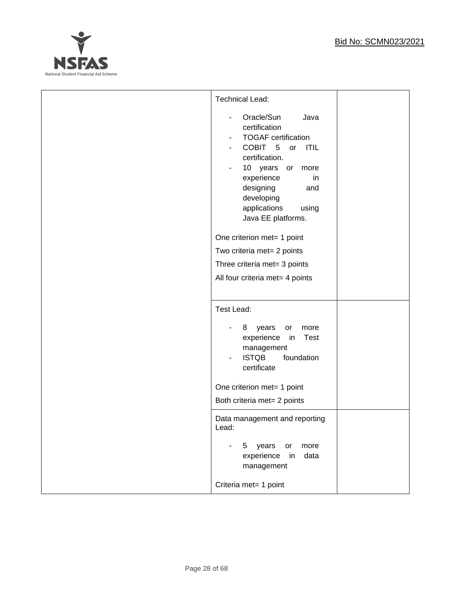

| <b>Technical Lead:</b><br>Oracle/Sun<br>Java<br>$\overline{\phantom{a}}$<br>certification<br><b>TOGAF</b> certification<br>COBIT 5<br>or ITIL<br>certification.<br>10 years or more<br>۰<br>experience<br>in<br>designing<br>and<br>developing<br>applications<br>using |  |
|-------------------------------------------------------------------------------------------------------------------------------------------------------------------------------------------------------------------------------------------------------------------------|--|
| Java EE platforms.<br>One criterion met= 1 point<br>Two criteria met= 2 points<br>Three criteria met= 3 points<br>All four criteria met= 4 points                                                                                                                       |  |
| Test Lead:<br>years<br>8<br>or<br>more<br>experience in<br><b>Test</b><br>management<br><b>ISTQB</b><br>foundation<br>certificate<br>One criterion met= 1 point<br>Both criteria met= 2 points                                                                          |  |
| Data management and reporting<br>Lead:<br>years<br>or<br>5<br>more<br>experience<br>in<br>data<br>management<br>Criteria met= 1 point                                                                                                                                   |  |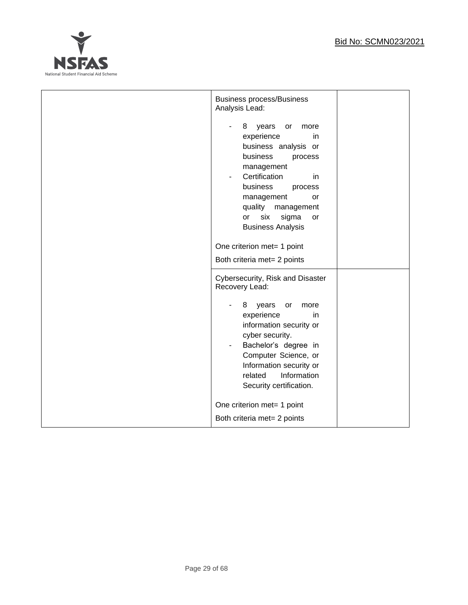

| <b>Business process/Business</b><br>Analysis Lead:<br>8<br>years<br>more<br>or<br>experience<br>in<br>business analysis or<br>business<br>process<br>management<br>Certification<br>in<br>business<br>process<br>management<br>or<br>quality<br>management<br>six<br>sigma<br><b>or</b><br>or<br><b>Business Analysis</b> |  |
|---------------------------------------------------------------------------------------------------------------------------------------------------------------------------------------------------------------------------------------------------------------------------------------------------------------------------|--|
| One criterion met= 1 point<br>Both criteria met= 2 points                                                                                                                                                                                                                                                                 |  |
| Cybersecurity, Risk and Disaster<br>Recovery Lead:<br>8<br>years<br>or<br>more<br>experience<br>in.<br>information security or<br>cyber security.<br>Bachelor's degree in<br>Computer Science, or<br>Information security or<br>Information<br>related<br>Security certification.                                         |  |
| One criterion met= 1 point<br>Both criteria met= 2 points                                                                                                                                                                                                                                                                 |  |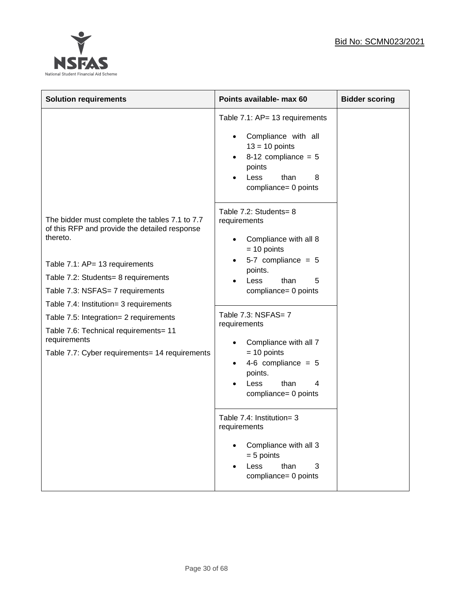

| <b>Solution requirements</b>                                                                                                                                                                                                                                                                                                                                                                                            | Points available- max 60                                                                                                                                                                                                                                                                                                                                                                                                                                                                 | <b>Bidder scoring</b> |
|-------------------------------------------------------------------------------------------------------------------------------------------------------------------------------------------------------------------------------------------------------------------------------------------------------------------------------------------------------------------------------------------------------------------------|------------------------------------------------------------------------------------------------------------------------------------------------------------------------------------------------------------------------------------------------------------------------------------------------------------------------------------------------------------------------------------------------------------------------------------------------------------------------------------------|-----------------------|
|                                                                                                                                                                                                                                                                                                                                                                                                                         | Table 7.1: AP= 13 requirements<br>Compliance with all<br>$13 = 10$ points<br>8-12 compliance = $5$<br>$\bullet$<br>points<br>than<br>Less<br>8<br>compliance= 0 points                                                                                                                                                                                                                                                                                                                   |                       |
| The bidder must complete the tables 7.1 to 7.7<br>of this RFP and provide the detailed response<br>thereto.<br>Table 7.1: AP= 13 requirements<br>Table 7.2: Students= 8 requirements<br>Table 7.3: NSFAS= 7 requirements<br>Table 7.4: Institution= 3 requirements<br>Table 7.5: Integration= 2 requirements<br>Table 7.6: Technical requirements= 11<br>requirements<br>Table 7.7: Cyber requirements= 14 requirements | Table 7.2: Students= 8<br>requirements<br>Compliance with all 8<br>$= 10$ points<br>5-7 compliance = $5$<br>points.<br><b>Less</b><br>than<br>5<br>compliance= 0 points<br>Table 7.3: NSFAS= 7<br>requirements<br>Compliance with all 7<br>$= 10$ points<br>4-6 compliance = $5$<br>$\bullet$<br>points.<br>than<br>Less<br>4<br>compliance= 0 points<br>Table 7.4: Institution= 3<br>requirements<br>Compliance with all 3<br>$= 5$ points<br>than<br>Less<br>3<br>compliance= 0 points |                       |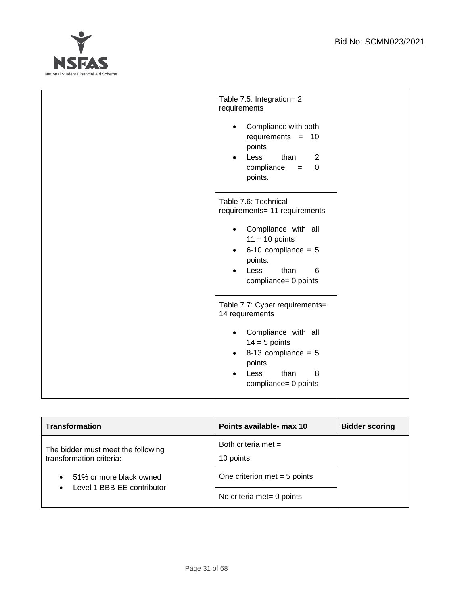

| Table 7.5: Integration= 2<br>requirements<br>Compliance with both<br>$\bullet$<br>requirements $= 10$<br>points<br>than<br>Less<br>2<br>$\bullet$<br>$compliance =$<br>$\Omega$<br>points.                          |
|---------------------------------------------------------------------------------------------------------------------------------------------------------------------------------------------------------------------|
| Table 7.6: Technical<br>requirements= 11 requirements<br>Compliance with all<br>$\bullet$<br>$11 = 10$ points<br>6-10 compliance = $5$<br>$\bullet$<br>points.<br>6<br>Less<br>than<br>compliance= 0 points         |
| Table 7.7: Cyber requirements=<br>14 requirements<br>Compliance with all<br>$\bullet$<br>$14 = 5$ points<br>8-13 compliance = $5$<br>$\bullet$<br>points.<br>than<br>Less<br>8<br>$\bullet$<br>compliance= 0 points |

| <b>Transformation</b>                                          | Points available- max 10           | <b>Bidder scoring</b> |
|----------------------------------------------------------------|------------------------------------|-----------------------|
| The bidder must meet the following<br>transformation criteria: | Both criteria met $=$<br>10 points |                       |
| 51% or more black owned<br>$\bullet$                           | One criterion met $= 5$ points     |                       |
| Level 1 BBB-EE contributor<br>$\bullet$                        | No criteria met= 0 points          |                       |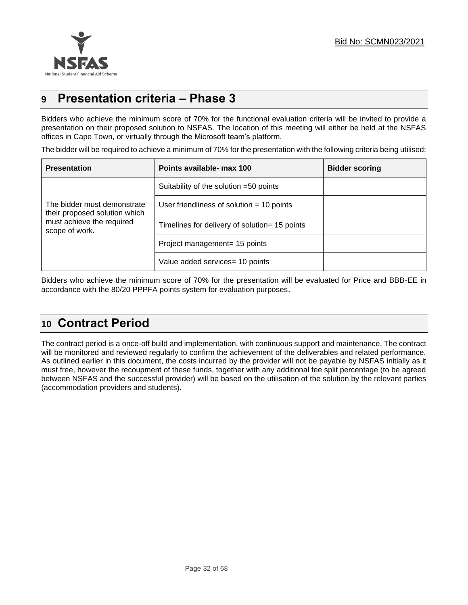

## **9 Presentation criteria – Phase 3**

Bidders who achieve the minimum score of 70% for the functional evaluation criteria will be invited to provide a presentation on their proposed solution to NSFAS. The location of this meeting will either be held at the NSFAS offices in Cape Town, or virtually through the Microsoft team's platform.

The bidder will be required to achieve a minimum of 70% for the presentation with the following criteria being utilised:

| <b>Presentation</b>                                          | Points available- max 100                     | <b>Bidder scoring</b> |
|--------------------------------------------------------------|-----------------------------------------------|-----------------------|
|                                                              | Suitability of the solution =50 points        |                       |
| The bidder must demonstrate<br>their proposed solution which | User friendliness of solution $=$ 10 points   |                       |
| must achieve the required<br>scope of work.                  | Timelines for delivery of solution= 15 points |                       |
|                                                              | Project management= 15 points                 |                       |
|                                                              | Value added services= 10 points               |                       |

Bidders who achieve the minimum score of 70% for the presentation will be evaluated for Price and BBB-EE in accordance with the 80/20 PPPFA points system for evaluation purposes.

## **10 Contract Period**

The contract period is a once-off build and implementation, with continuous support and maintenance. The contract will be monitored and reviewed regularly to confirm the achievement of the deliverables and related performance. As outlined earlier in this document, the costs incurred by the provider will not be payable by NSFAS initially as it must free, however the recoupment of these funds, together with any additional fee split percentage (to be agreed between NSFAS and the successful provider) will be based on the utilisation of the solution by the relevant parties (accommodation providers and students).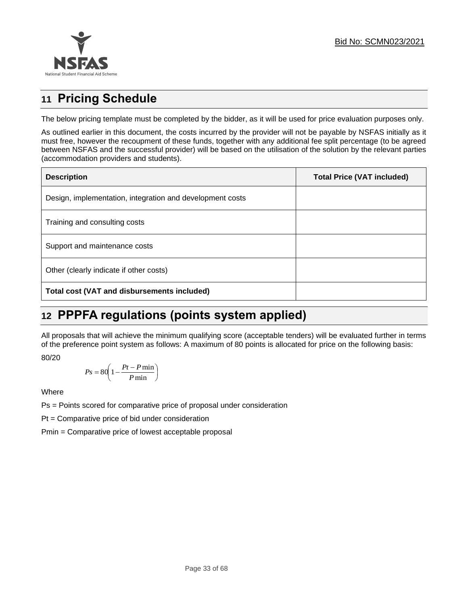

## **11 Pricing Schedule**

The below pricing template must be completed by the bidder, as it will be used for price evaluation purposes only.

As outlined earlier in this document, the costs incurred by the provider will not be payable by NSFAS initially as it must free, however the recoupment of these funds, together with any additional fee split percentage (to be agreed between NSFAS and the successful provider) will be based on the utilisation of the solution by the relevant parties (accommodation providers and students).

| <b>Description</b>                                        | <b>Total Price (VAT included)</b> |
|-----------------------------------------------------------|-----------------------------------|
| Design, implementation, integration and development costs |                                   |
| Training and consulting costs                             |                                   |
| Support and maintenance costs                             |                                   |
| Other (clearly indicate if other costs)                   |                                   |
| Total cost (VAT and disbursements included)               |                                   |

## **12 PPPFA regulations (points system applied)**

All proposals that will achieve the minimum qualifying score (acceptable tenders) will be evaluated further in terms of the preference point system as follows: A maximum of 80 points is allocated for price on the following basis:

80/20

$$
Ps = 80 \left( 1 - \frac{Pt - P \min}{P \min} \right)
$$

Where

Ps = Points scored for comparative price of proposal under consideration

Pt = Comparative price of bid under consideration

Pmin = Comparative price of lowest acceptable proposal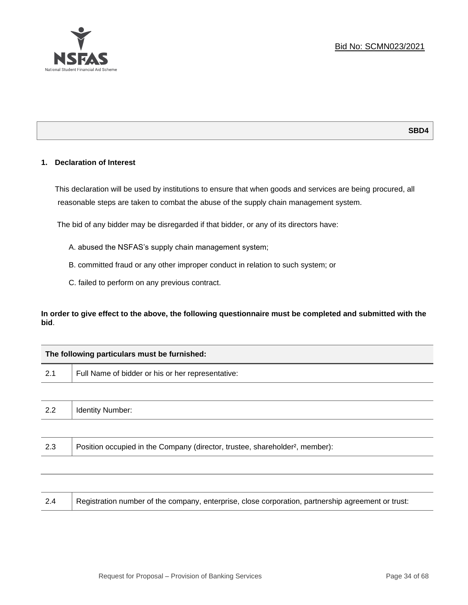#### **1. Declaration of Interest**

This declaration will be used by institutions to ensure that when goods and services are being procured, all reasonable steps are taken to combat the abuse of the supply chain management system.

The bid of any bidder may be disregarded if that bidder, or any of its directors have:

- A. abused the NSFAS's supply chain management system;
- B. committed fraud or any other improper conduct in relation to such system; or
- C. failed to perform on any previous contract.

**In order to give effect to the above, the following questionnaire must be completed and submitted with the bid**.

| The following particulars must be furnished: |                                                   |  |  |
|----------------------------------------------|---------------------------------------------------|--|--|
| 2.1                                          | Full Name of bidder or his or her representative: |  |  |
|                                              |                                                   |  |  |
|                                              |                                                   |  |  |

| <u>.</u> | -<br>. וטניי<br>. . <b>.</b> |
|----------|------------------------------|
|          |                              |

| 2.3 | Position occupied in the Company (director, trustee, shareholder <sup>2</sup> , member): |
|-----|------------------------------------------------------------------------------------------|
|-----|------------------------------------------------------------------------------------------|

| 2.4 | Registration number of the company, enterprise, close corporation, partnership agreement or trust: |
|-----|----------------------------------------------------------------------------------------------------|
|-----|----------------------------------------------------------------------------------------------------|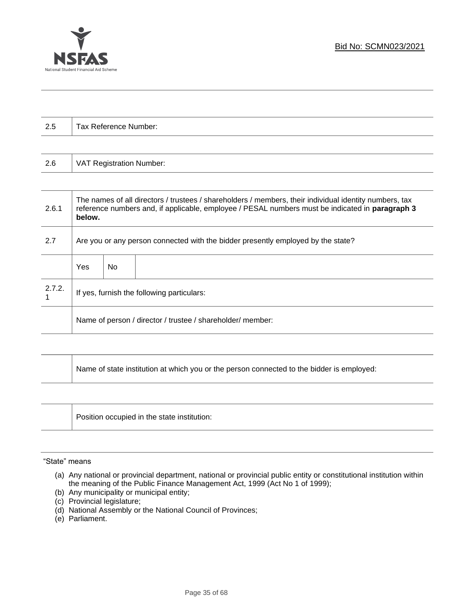

| 2.5    |                                                                                                                                                                                                                     | Tax Reference Number:           |  |  |  |
|--------|---------------------------------------------------------------------------------------------------------------------------------------------------------------------------------------------------------------------|---------------------------------|--|--|--|
|        |                                                                                                                                                                                                                     |                                 |  |  |  |
| 2.6    |                                                                                                                                                                                                                     | <b>VAT Registration Number:</b> |  |  |  |
|        |                                                                                                                                                                                                                     |                                 |  |  |  |
| 2.6.1  | The names of all directors / trustees / shareholders / members, their individual identity numbers, tax<br>reference numbers and, if applicable, employee / PESAL numbers must be indicated in paragraph 3<br>below. |                                 |  |  |  |
| 2.7    | Are you or any person connected with the bidder presently employed by the state?                                                                                                                                    |                                 |  |  |  |
|        | Yes                                                                                                                                                                                                                 | <b>No</b>                       |  |  |  |
| 2.7.2. | If yes, furnish the following particulars:                                                                                                                                                                          |                                 |  |  |  |
|        | Name of person / director / trustee / shareholder/ member:                                                                                                                                                          |                                 |  |  |  |
|        |                                                                                                                                                                                                                     |                                 |  |  |  |

| Name of state institution at which you or the person connected to the bidder is employed: |
|-------------------------------------------------------------------------------------------|
|                                                                                           |

| Position occupied in the state institution: |
|---------------------------------------------|
|                                             |

#### "State" means

- (a) Any national or provincial department, national or provincial public entity or constitutional institution within the meaning of the Public Finance Management Act, 1999 (Act No 1 of 1999);
- (b) Any municipality or municipal entity;
- (c) Provincial legislature;
- (d) National Assembly or the National Council of Provinces;
- (e) Parliament.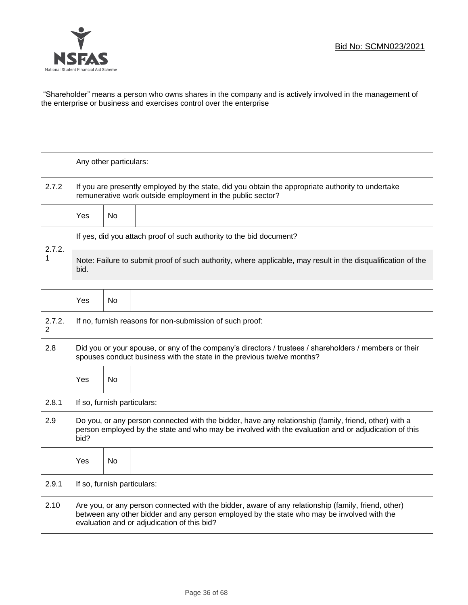

"Shareholder" means a person who owns shares in the company and is actively involved in the management of the enterprise or business and exercises control over the enterprise

|                          | Any other particulars:                                                                                                                                                                                                                           |                                                                                                                                                                 |  |  |  |  |
|--------------------------|--------------------------------------------------------------------------------------------------------------------------------------------------------------------------------------------------------------------------------------------------|-----------------------------------------------------------------------------------------------------------------------------------------------------------------|--|--|--|--|
| 2.7.2                    |                                                                                                                                                                                                                                                  | If you are presently employed by the state, did you obtain the appropriate authority to undertake<br>remunerative work outside employment in the public sector? |  |  |  |  |
|                          | Yes                                                                                                                                                                                                                                              | No                                                                                                                                                              |  |  |  |  |
| 2.7.2.                   |                                                                                                                                                                                                                                                  | If yes, did you attach proof of such authority to the bid document?                                                                                             |  |  |  |  |
| 1                        | bid.                                                                                                                                                                                                                                             | Note: Failure to submit proof of such authority, where applicable, may result in the disqualification of the                                                    |  |  |  |  |
|                          | Yes                                                                                                                                                                                                                                              | No                                                                                                                                                              |  |  |  |  |
| 2.7.2.<br>$\overline{2}$ | If no, furnish reasons for non-submission of such proof:                                                                                                                                                                                         |                                                                                                                                                                 |  |  |  |  |
| 2.8                      | Did you or your spouse, or any of the company's directors / trustees / shareholders / members or their<br>spouses conduct business with the state in the previous twelve months?                                                                 |                                                                                                                                                                 |  |  |  |  |
|                          | Yes                                                                                                                                                                                                                                              | No                                                                                                                                                              |  |  |  |  |
| 2.8.1                    | If so, furnish particulars:                                                                                                                                                                                                                      |                                                                                                                                                                 |  |  |  |  |
| 2.9                      | Do you, or any person connected with the bidder, have any relationship (family, friend, other) with a<br>person employed by the state and who may be involved with the evaluation and or adjudication of this<br>bid?                            |                                                                                                                                                                 |  |  |  |  |
|                          | Yes                                                                                                                                                                                                                                              | No                                                                                                                                                              |  |  |  |  |
| 2.9.1                    | If so, furnish particulars:                                                                                                                                                                                                                      |                                                                                                                                                                 |  |  |  |  |
| 2.10                     | Are you, or any person connected with the bidder, aware of any relationship (family, friend, other)<br>between any other bidder and any person employed by the state who may be involved with the<br>evaluation and or adjudication of this bid? |                                                                                                                                                                 |  |  |  |  |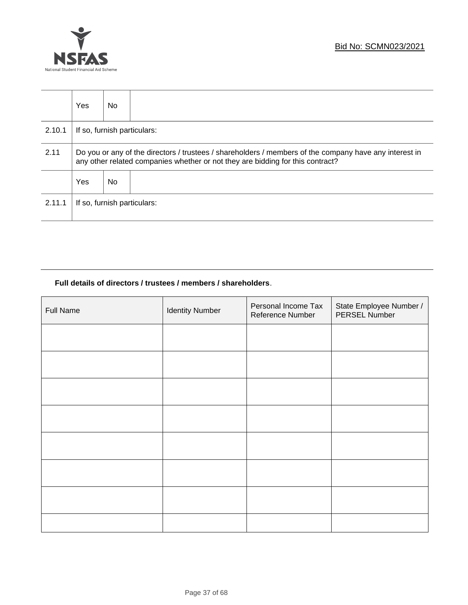



|        | <b>Yes</b>                                                                                                                                                                               | No. |  |  |  |
|--------|------------------------------------------------------------------------------------------------------------------------------------------------------------------------------------------|-----|--|--|--|
| 2.10.1 | If so, furnish particulars:                                                                                                                                                              |     |  |  |  |
| 2.11   | Do you or any of the directors / trustees / shareholders / members of the company have any interest in<br>any other related companies whether or not they are bidding for this contract? |     |  |  |  |
|        | Yes                                                                                                                                                                                      | No. |  |  |  |
| 2.11.1 | If so, furnish particulars:                                                                                                                                                              |     |  |  |  |

### **Full details of directors / trustees / members / shareholders**.

| <b>Full Name</b> | <b>Identity Number</b> | Personal Income Tax<br>Reference Number | State Employee Number /<br>PERSEL Number |
|------------------|------------------------|-----------------------------------------|------------------------------------------|
|                  |                        |                                         |                                          |
|                  |                        |                                         |                                          |
|                  |                        |                                         |                                          |
|                  |                        |                                         |                                          |
|                  |                        |                                         |                                          |
|                  |                        |                                         |                                          |
|                  |                        |                                         |                                          |
|                  |                        |                                         |                                          |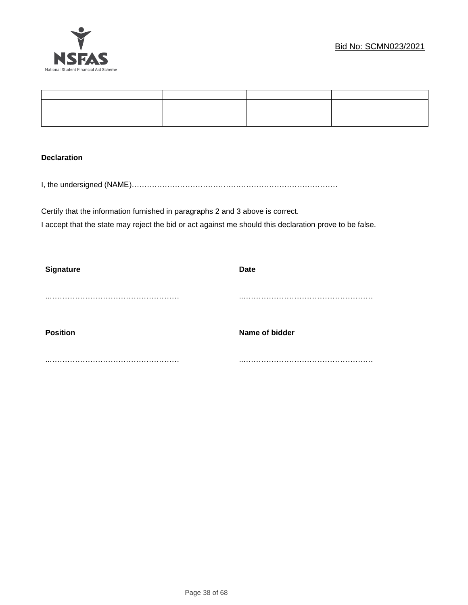

#### **Declaration**

I, the undersigned (NAME)………………………………………………………………………

Certify that the information furnished in paragraphs 2 and 3 above is correct. I accept that the state may reject the bid or act against me should this declaration prove to be false.

| <b>Signature</b> | Date           |
|------------------|----------------|
|                  |                |
|                  |                |
|                  |                |
|                  |                |
| <b>Position</b>  | Name of bidder |
|                  |                |
|                  | .              |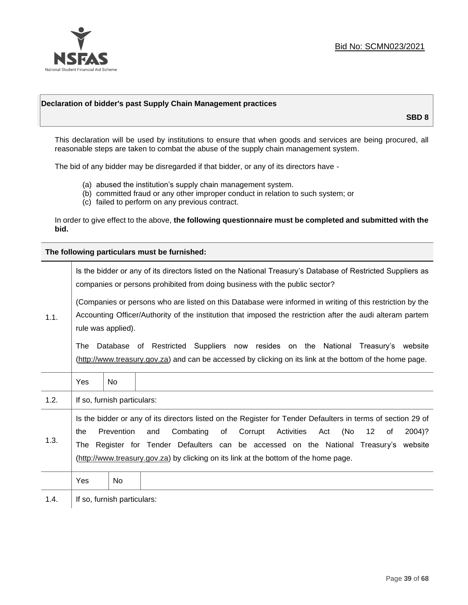

#### **Declaration of bidder's past Supply Chain Management practices**

**SBD 8**

This declaration will be used by institutions to ensure that when goods and services are being procured, all reasonable steps are taken to combat the abuse of the supply chain management system.

The bid of any bidder may be disregarded if that bidder, or any of its directors have -

- (a) abused the institution's supply chain management system.
- (b) committed fraud or any other improper conduct in relation to such system; or
- (c) failed to perform on any previous contract.

In order to give effect to the above, **the following questionnaire must be completed and submitted with the bid.**

**The following particulars must be furnished:**

|      | Is the bidder or any of its directors listed on the National Treasury's Database of Restricted Suppliers as<br>companies or persons prohibited from doing business with the public sector?                                                                                                                                                                                                                |                             |  |  |
|------|-----------------------------------------------------------------------------------------------------------------------------------------------------------------------------------------------------------------------------------------------------------------------------------------------------------------------------------------------------------------------------------------------------------|-----------------------------|--|--|
| 1.1. | (Companies or persons who are listed on this Database were informed in writing of this restriction by the<br>Accounting Officer/Authority of the institution that imposed the restriction after the audi alteram partem<br>rule was applied).                                                                                                                                                             |                             |  |  |
|      | Database of Restricted Suppliers now resides on the National<br>Treasury's website<br>The<br>(http://www.treasury.gov.za) and can be accessed by clicking on its link at the bottom of the home page.                                                                                                                                                                                                     |                             |  |  |
|      | Yes                                                                                                                                                                                                                                                                                                                                                                                                       | <b>No</b>                   |  |  |
| 1.2. |                                                                                                                                                                                                                                                                                                                                                                                                           | If so, furnish particulars: |  |  |
| 1.3. | Is the bidder or any of its directors listed on the Register for Tender Defaulters in terms of section 29 of<br>Prevention<br>Activities<br>(No<br>Combating<br>of<br>Corrupt<br>12<br>2004)?<br>the<br>and<br>Act<br>of<br>The Register for Tender Defaulters can be accessed on the National Treasury's website<br>(http://www.treasury.gov.za) by clicking on its link at the bottom of the home page. |                             |  |  |
|      | Yes                                                                                                                                                                                                                                                                                                                                                                                                       | No.                         |  |  |
| 1.4. |                                                                                                                                                                                                                                                                                                                                                                                                           | If so, furnish particulars: |  |  |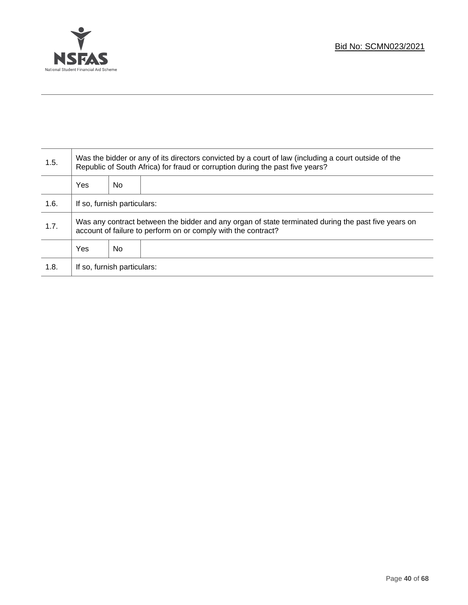

T

| 1.5. | Was the bidder or any of its directors convicted by a court of law (including a court outside of the<br>Republic of South Africa) for fraud or corruption during the past five years? |    |  |
|------|---------------------------------------------------------------------------------------------------------------------------------------------------------------------------------------|----|--|
|      | <b>Yes</b>                                                                                                                                                                            | No |  |
| 1.6. | If so, furnish particulars:                                                                                                                                                           |    |  |
| 1.7. | Was any contract between the bidder and any organ of state terminated during the past five years on<br>account of failure to perform on or comply with the contract?                  |    |  |
|      | <b>Yes</b>                                                                                                                                                                            | No |  |
| 1.8. | If so, furnish particulars:                                                                                                                                                           |    |  |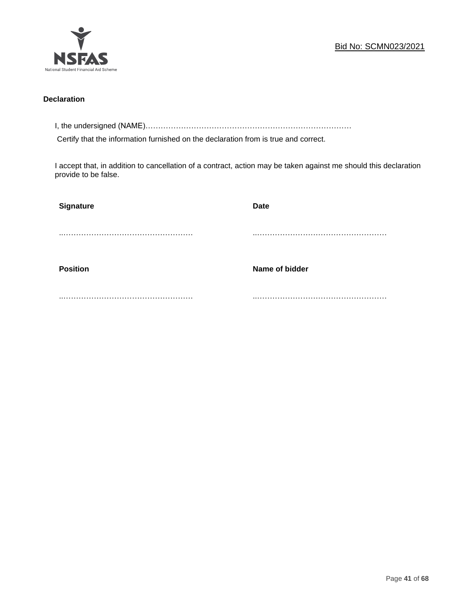

#### **Declaration**

I, the undersigned (NAME)………………………………………………………………………

Certify that the information furnished on the declaration from is true and correct.

I accept that, in addition to cancellation of a contract, action may be taken against me should this declaration provide to be false.

| Signature       | <b>Date</b>    |
|-----------------|----------------|
|                 |                |
|                 |                |
| <b>Position</b> | Name of bidder |
|                 |                |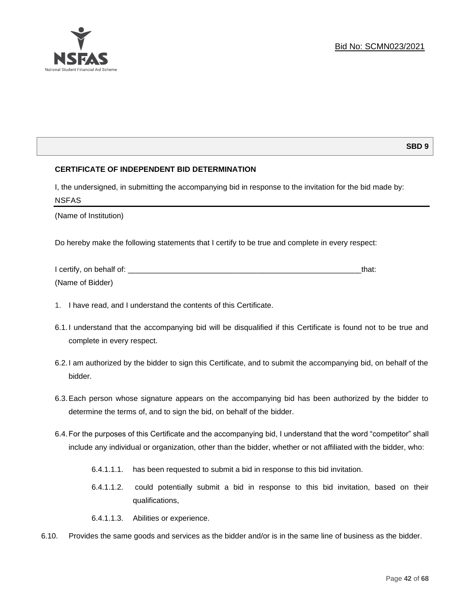

#### **SBD 9**

#### **CERTIFICATE OF INDEPENDENT BID DETERMINATION**

I, the undersigned, in submitting the accompanying bid in response to the invitation for the bid made by: NSFAS

(Name of Institution)

Do hereby make the following statements that I certify to be true and complete in every respect:

| I certify, on behalf of: |  |
|--------------------------|--|
| (Name of Bidder)         |  |

- 1. I have read, and I understand the contents of this Certificate.
- 6.1.I understand that the accompanying bid will be disqualified if this Certificate is found not to be true and complete in every respect.
- 6.2.I am authorized by the bidder to sign this Certificate, and to submit the accompanying bid, on behalf of the bidder.
- 6.3.Each person whose signature appears on the accompanying bid has been authorized by the bidder to determine the terms of, and to sign the bid, on behalf of the bidder.
- 6.4.For the purposes of this Certificate and the accompanying bid, I understand that the word "competitor" shall include any individual or organization, other than the bidder, whether or not affiliated with the bidder, who:
	- 6.4.1.1.1. has been requested to submit a bid in response to this bid invitation.
	- 6.4.1.1.2. could potentially submit a bid in response to this bid invitation, based on their qualifications,
	- 6.4.1.1.3. Abilities or experience.
- 6.10. Provides the same goods and services as the bidder and/or is in the same line of business as the bidder.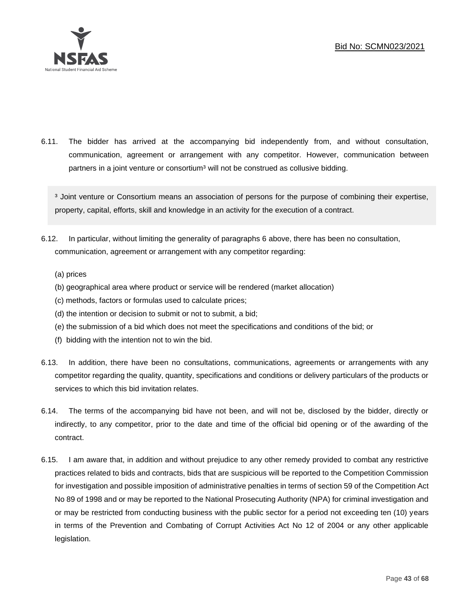

6.11. The bidder has arrived at the accompanying bid independently from, and without consultation, communication, agreement or arrangement with any competitor. However, communication between partners in a joint venture or consortium<sup>3</sup> will not be construed as collusive bidding.

<sup>3</sup> Joint venture or Consortium means an association of persons for the purpose of combining their expertise, property, capital, efforts, skill and knowledge in an activity for the execution of a contract.

- 6.12. In particular, without limiting the generality of paragraphs 6 above, there has been no consultation, communication, agreement or arrangement with any competitor regarding:
	- (a) prices
	- (b) geographical area where product or service will be rendered (market allocation)
	- (c) methods, factors or formulas used to calculate prices;
	- (d) the intention or decision to submit or not to submit, a bid;
	- (e) the submission of a bid which does not meet the specifications and conditions of the bid; or
	- (f) bidding with the intention not to win the bid.
- 6.13. In addition, there have been no consultations, communications, agreements or arrangements with any competitor regarding the quality, quantity, specifications and conditions or delivery particulars of the products or services to which this bid invitation relates.
- 6.14. The terms of the accompanying bid have not been, and will not be, disclosed by the bidder, directly or indirectly, to any competitor, prior to the date and time of the official bid opening or of the awarding of the contract.
- 6.15. I am aware that, in addition and without prejudice to any other remedy provided to combat any restrictive practices related to bids and contracts, bids that are suspicious will be reported to the Competition Commission for investigation and possible imposition of administrative penalties in terms of section 59 of the Competition Act No 89 of 1998 and or may be reported to the National Prosecuting Authority (NPA) for criminal investigation and or may be restricted from conducting business with the public sector for a period not exceeding ten (10) years in terms of the Prevention and Combating of Corrupt Activities Act No 12 of 2004 or any other applicable legislation.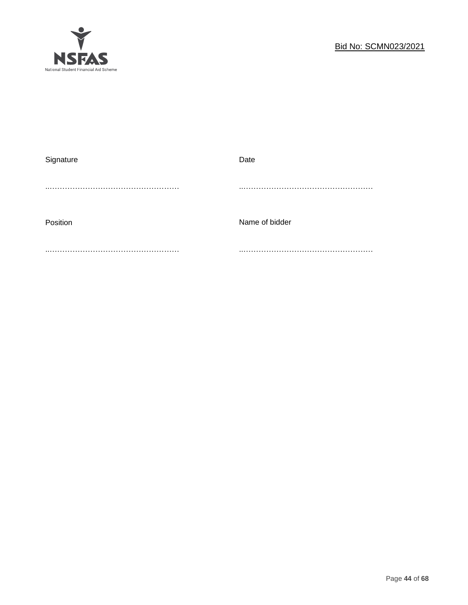

| Signature | Date           |
|-----------|----------------|
|           |                |
|           |                |
|           |                |
| Position  | Name of bidder |
|           |                |
|           |                |
|           |                |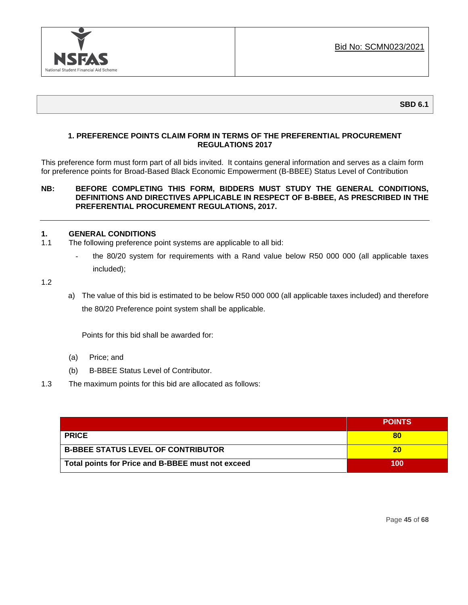

#### **SBD 6.1**

#### **1. PREFERENCE POINTS CLAIM FORM IN TERMS OF THE PREFERENTIAL PROCUREMENT REGULATIONS 2017**

This preference form must form part of all bids invited. It contains general information and serves as a claim form for preference points for Broad-Based Black Economic Empowerment (B-BBEE) Status Level of Contribution

#### **NB: BEFORE COMPLETING THIS FORM, BIDDERS MUST STUDY THE GENERAL CONDITIONS, DEFINITIONS AND DIRECTIVES APPLICABLE IN RESPECT OF B-BBEE, AS PRESCRIBED IN THE PREFERENTIAL PROCUREMENT REGULATIONS, 2017.**

#### **1. GENERAL CONDITIONS**

- 1.1 The following preference point systems are applicable to all bid:
	- the 80/20 system for requirements with a Rand value below R50 000 000 (all applicable taxes included);

1.2

a) The value of this bid is estimated to be below R50 000 000 (all applicable taxes included) and therefore the 80/20 Preference point system shall be applicable.

Points for this bid shall be awarded for:

- (a) Price; and
- (b) B-BBEE Status Level of Contributor.
- 1.3 The maximum points for this bid are allocated as follows:

|                                                   | <b>POINTS</b> |
|---------------------------------------------------|---------------|
| <b>PRICE</b>                                      | 80            |
| <b>B-BBEE STATUS LEVEL OF CONTRIBUTOR</b>         | 20            |
| Total points for Price and B-BBEE must not exceed | 100           |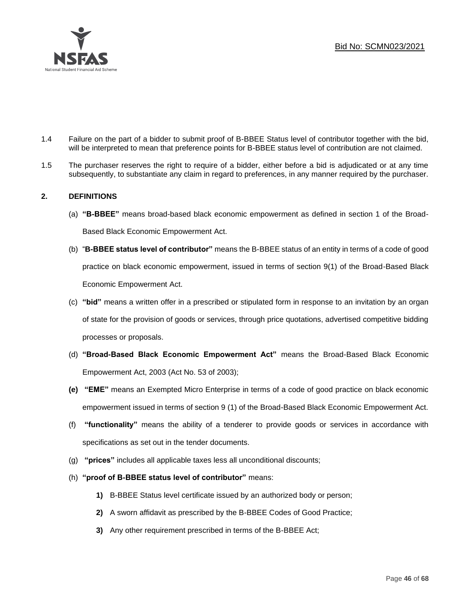

- 1.4 Failure on the part of a bidder to submit proof of B-BBEE Status level of contributor together with the bid, will be interpreted to mean that preference points for B-BBEE status level of contribution are not claimed.
- 1.5 The purchaser reserves the right to require of a bidder, either before a bid is adjudicated or at any time subsequently, to substantiate any claim in regard to preferences, in any manner required by the purchaser.

#### **2. DEFINITIONS**

- (a) **"B-BBEE"** means broad-based black economic empowerment as defined in section 1 of the Broad-Based Black Economic Empowerment Act.
- (b) "**B-BBEE status level of contributor"** means the B-BBEE status of an entity in terms of a code of good practice on black economic empowerment, issued in terms of section 9(1) of the Broad-Based Black Economic Empowerment Act.
- (c) **"bid"** means a written offer in a prescribed or stipulated form in response to an invitation by an organ of state for the provision of goods or services, through price quotations, advertised competitive bidding processes or proposals.
- (d) **"Broad-Based Black Economic Empowerment Act"** means the Broad-Based Black Economic Empowerment Act, 2003 (Act No. 53 of 2003);
- **(e) "EME"** means an Exempted Micro Enterprise in terms of a code of good practice on black economic empowerment issued in terms of section 9 (1) of the Broad-Based Black Economic Empowerment Act.
- (f) **"functionality"** means the ability of a tenderer to provide goods or services in accordance with specifications as set out in the tender documents.
- (g) **"prices"** includes all applicable taxes less all unconditional discounts;
- (h) **"proof of B-BBEE status level of contributor"** means:
	- **1)** B-BBEE Status level certificate issued by an authorized body or person;
	- **2)** A sworn affidavit as prescribed by the B-BBEE Codes of Good Practice;
	- **3)** Any other requirement prescribed in terms of the B-BBEE Act;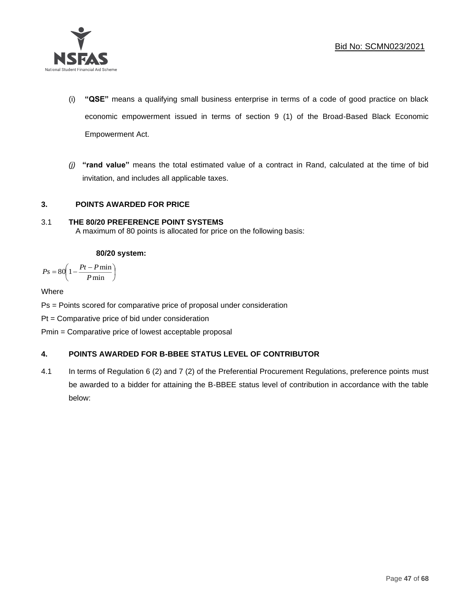

- (i) **"QSE"** means a qualifying small business enterprise in terms of a code of good practice on black economic empowerment issued in terms of section 9 (1) of the Broad-Based Black Economic Empowerment Act.
- *(j)* **"rand value"** means the total estimated value of a contract in Rand, calculated at the time of bid invitation, and includes all applicable taxes.

### **3. POINTS AWARDED FOR PRICE**

#### 3.1 **THE 80/20 PREFERENCE POINT SYSTEMS**  A maximum of 80 points is allocated for price on the following basis:

#### **80/20 system:**

$$
Ps = 80 \left( 1 - \frac{Pt - P \min}{P \min} \right)
$$

**Where** 

Ps = Points scored for comparative price of proposal under consideration

Pt = Comparative price of bid under consideration

Pmin = Comparative price of lowest acceptable proposal

### **4. POINTS AWARDED FOR B-BBEE STATUS LEVEL OF CONTRIBUTOR**

4.1 In terms of Regulation 6 (2) and 7 (2) of the Preferential Procurement Regulations, preference points must be awarded to a bidder for attaining the B-BBEE status level of contribution in accordance with the table below: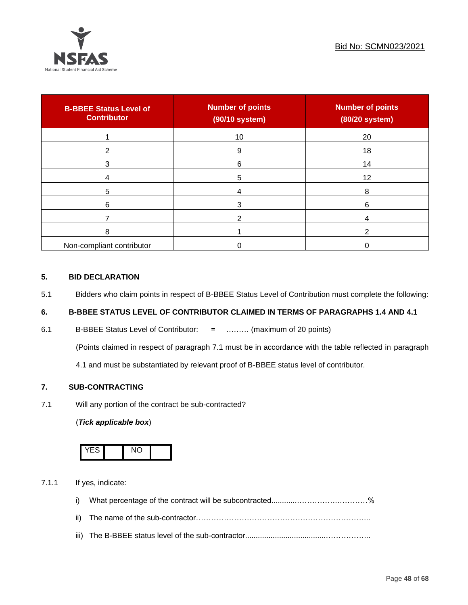

| <b>B-BBEE Status Level of</b><br><b>Contributor</b> | <b>Number of points</b><br>(90/10 system) | <b>Number of points</b><br>(80/20 system) |
|-----------------------------------------------------|-------------------------------------------|-------------------------------------------|
|                                                     | 10                                        | 20                                        |
| 2                                                   | 9                                         | 18                                        |
| 3                                                   | 6                                         | 14                                        |
|                                                     | 5                                         | 12                                        |
| 5                                                   |                                           | 8                                         |
| 6                                                   |                                           | 6                                         |
|                                                     |                                           |                                           |
| 8                                                   |                                           | ົ                                         |
| Non-compliant contributor                           |                                           |                                           |

#### **5. BID DECLARATION**

5.1 Bidders who claim points in respect of B-BBEE Status Level of Contribution must complete the following:

### **6. B-BBEE STATUS LEVEL OF CONTRIBUTOR CLAIMED IN TERMS OF PARAGRAPHS 1.4 AND 4.1**

6.1 B-BBEE Status Level of Contributor: = ……… (maximum of 20 points)

(Points claimed in respect of paragraph 7.1 must be in accordance with the table reflected in paragraph

4.1 and must be substantiated by relevant proof of B-BBEE status level of contributor.

#### **7. SUB-CONTRACTING**

7.1 Will any portion of the contract be sub-contracted?

#### (*Tick applicable box*)



7.1.1 If yes, indicate:

- i) What percentage of the contract will be subcontracted............…………….…………%
- ii) The name of the sub-contractor…………………………………………………………...
- iii) The B-BBEE status level of the sub-contractor......................................……………...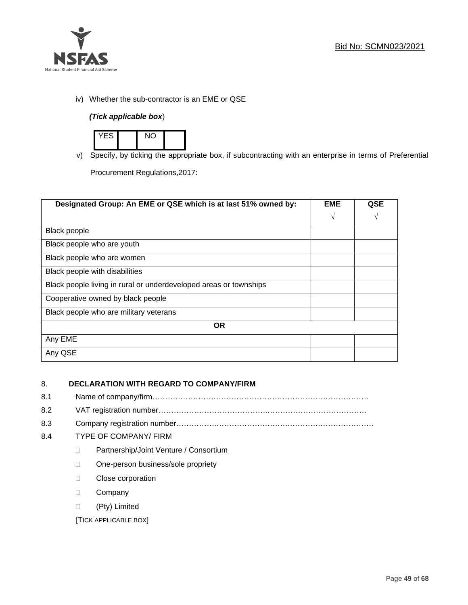

iv) Whether the sub-contractor is an EME or QSE

### *(Tick applicable box*)



v) Specify, by ticking the appropriate box, if subcontracting with an enterprise in terms of Preferential

Procurement Regulations,2017:

| Designated Group: An EME or QSE which is at last 51% owned by:    | <b>EME</b> | <b>QSE</b> |
|-------------------------------------------------------------------|------------|------------|
|                                                                   | $\sqrt{ }$ | V          |
| <b>Black people</b>                                               |            |            |
| Black people who are youth                                        |            |            |
| Black people who are women                                        |            |            |
| Black people with disabilities                                    |            |            |
| Black people living in rural or underdeveloped areas or townships |            |            |
| Cooperative owned by black people                                 |            |            |
| Black people who are military veterans                            |            |            |
| <b>OR</b>                                                         |            |            |
| Any EME                                                           |            |            |
| Any QSE                                                           |            |            |

### 8. **DECLARATION WITH REGARD TO COMPANY/FIRM**

- 8.1 Name of company/firm………………………………………………………………………….
- 8.2 VAT registration number…………………………………….…………………………………
- 8.3 Company registration number…………….……………………….…………………………….

#### 8.4 TYPE OF COMPANY/ FIRM

- D Partnership/Joint Venture / Consortium
- □ One-person business/sole propriety
- **Close corporation**
- D Company
- (Pty) Limited

[TICK APPLICABLE BOX]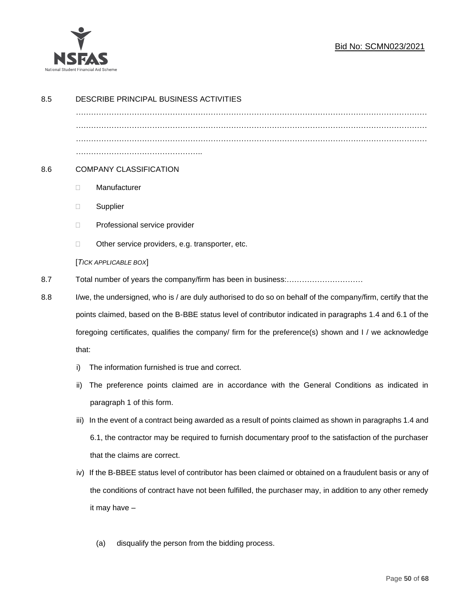

### Bid No: SCMN023/2021

| 8.5 | DESCRIBE PRINCIPAL BUSINESS ACTIVITIES                                                                 |                                                                                                              |  |  |
|-----|--------------------------------------------------------------------------------------------------------|--------------------------------------------------------------------------------------------------------------|--|--|
|     |                                                                                                        |                                                                                                              |  |  |
|     |                                                                                                        |                                                                                                              |  |  |
|     |                                                                                                        |                                                                                                              |  |  |
|     |                                                                                                        |                                                                                                              |  |  |
| 8.6 |                                                                                                        | <b>COMPANY CLASSIFICATION</b>                                                                                |  |  |
|     | $\Box$                                                                                                 | Manufacturer                                                                                                 |  |  |
|     | $\Box$                                                                                                 | Supplier                                                                                                     |  |  |
|     | $\Box$                                                                                                 | Professional service provider                                                                                |  |  |
|     | $\Box$                                                                                                 | Other service providers, e.g. transporter, etc.                                                              |  |  |
|     |                                                                                                        | [TICK APPLICABLE BOX]                                                                                        |  |  |
| 8.7 |                                                                                                        |                                                                                                              |  |  |
| 8.8 |                                                                                                        | I/we, the undersigned, who is / are duly authorised to do so on behalf of the company/firm, certify that the |  |  |
|     |                                                                                                        | points claimed, based on the B-BBE status level of contributor indicated in paragraphs 1.4 and 6.1 of the    |  |  |
|     | foregoing certificates, qualifies the company/ firm for the preference(s) shown and I / we acknowledge |                                                                                                              |  |  |
|     | that:                                                                                                  |                                                                                                              |  |  |
|     | i)                                                                                                     | The information furnished is true and correct.                                                               |  |  |
|     | ii)                                                                                                    | The preference points claimed are in accordance with the General Conditions as indicated in                  |  |  |
|     |                                                                                                        | paragraph 1 of this form.                                                                                    |  |  |
|     | iii)                                                                                                   | In the event of a contract being awarded as a result of points claimed as shown in paragraphs 1.4 and        |  |  |
|     |                                                                                                        | 6.1, the contractor may be required to furnish documentary proof to the satisfaction of the purchaser        |  |  |
|     |                                                                                                        | that the claims are correct.                                                                                 |  |  |
|     |                                                                                                        | iv) If the B-BBEE status level of contributor has been claimed or obtained on a fraudulent basis or any of   |  |  |
|     |                                                                                                        | the conditions of contract have not been fulfilled, the purchaser may, in addition to any other remedy       |  |  |
|     |                                                                                                        | it may have -                                                                                                |  |  |
|     |                                                                                                        |                                                                                                              |  |  |
|     |                                                                                                        | disqualify the person from the bidding process.<br>(a)                                                       |  |  |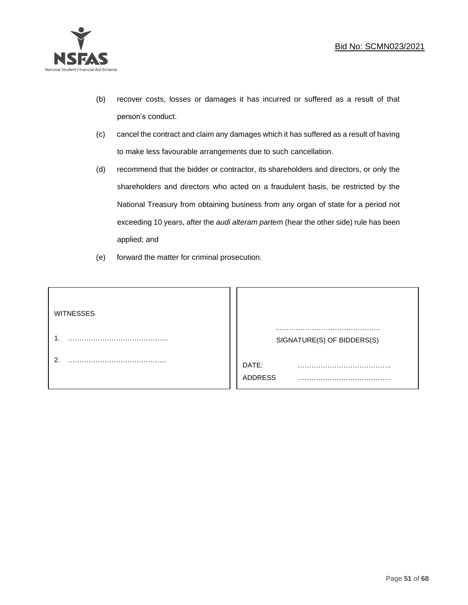

- (b) recover costs, losses or damages it has incurred or suffered as a result of that person's conduct.
- (c) cancel the contract and claim any damages which it has suffered as a result of having to make less favourable arrangements due to such cancellation.
- (d) recommend that the bidder or contractor, its shareholders and directors, or only the shareholders and directors who acted on a fraudulent basis, be restricted by the National Treasury from obtaining business from any organ of state for a period not exceeding 10 years, after the *audi alteram partem* (hear the other side) rule has been applied; and
- (e) forward the matter for criminal prosecution.

| <b>WITNESSES</b> |                            |
|------------------|----------------------------|
|                  | SIGNATURE(S) OF BIDDERS(S) |
|                  | DATE:<br>.<br>.<br>ADDRESS |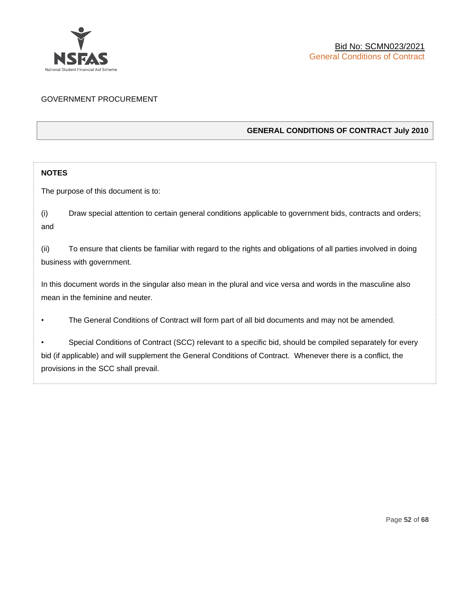

#### GOVERNMENT PROCUREMENT

#### **GENERAL CONDITIONS OF CONTRACT July 2010**

#### **NOTES**

The purpose of this document is to:

(i) Draw special attention to certain general conditions applicable to government bids, contracts and orders; and

(ii) To ensure that clients be familiar with regard to the rights and obligations of all parties involved in doing business with government.

In this document words in the singular also mean in the plural and vice versa and words in the masculine also mean in the feminine and neuter.

• The General Conditions of Contract will form part of all bid documents and may not be amended.

Special Conditions of Contract (SCC) relevant to a specific bid, should be compiled separately for every bid (if applicable) and will supplement the General Conditions of Contract. Whenever there is a conflict, the provisions in the SCC shall prevail.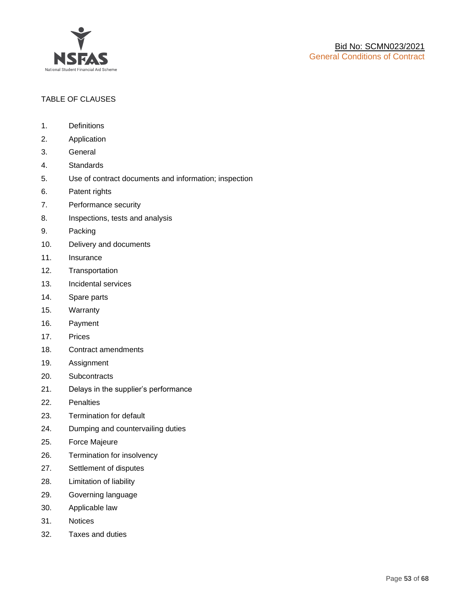

#### TABLE OF CLAUSES

- 1. Definitions
- 2. Application
- 3. General
- 4. Standards
- 5. Use of contract documents and information; inspection
- 6. Patent rights
- 7. Performance security
- 8. Inspections, tests and analysis
- 9. Packing
- 10. Delivery and documents
- 11. Insurance
- 12. Transportation
- 13. Incidental services
- 14. Spare parts
- 15. Warranty
- 16. Payment
- 17. Prices
- 18. Contract amendments
- 19. Assignment
- 20. Subcontracts
- 21. Delays in the supplier's performance
- 22. Penalties
- 23. Termination for default
- 24. Dumping and countervailing duties
- 25. Force Majeure
- 26. Termination for insolvency
- 27. Settlement of disputes
- 28. Limitation of liability
- 29. Governing language
- 30. Applicable law
- 31. Notices
- 32. Taxes and duties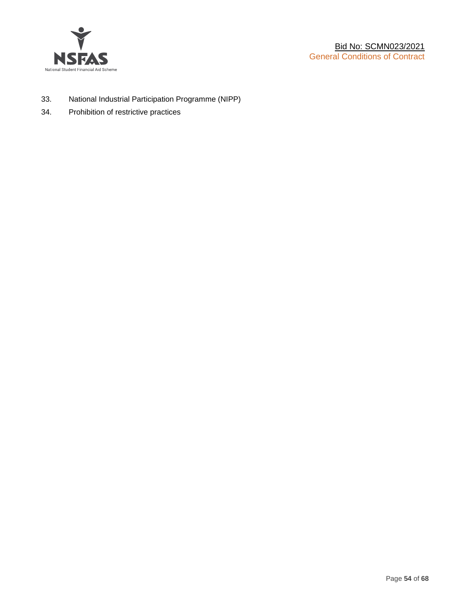

- 33. National Industrial Participation Programme (NIPP)
- 34. Prohibition of restrictive practices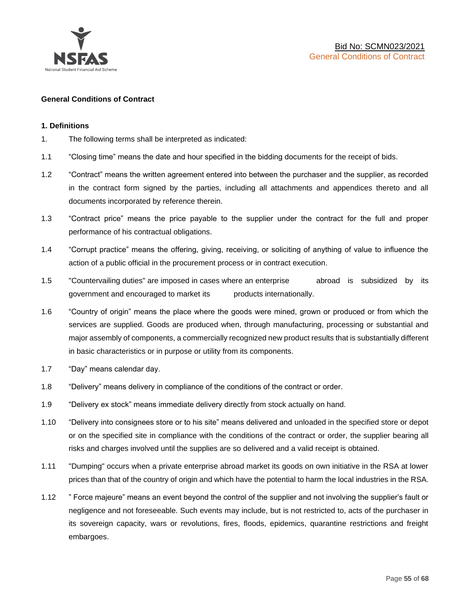

#### **General Conditions of Contract**

#### **1. Definitions**

- 1. The following terms shall be interpreted as indicated:
- 1.1 "Closing time" means the date and hour specified in the bidding documents for the receipt of bids.
- 1.2 "Contract" means the written agreement entered into between the purchaser and the supplier, as recorded in the contract form signed by the parties, including all attachments and appendices thereto and all documents incorporated by reference therein.
- 1.3 "Contract price" means the price payable to the supplier under the contract for the full and proper performance of his contractual obligations.
- 1.4 "Corrupt practice" means the offering, giving, receiving, or soliciting of anything of value to influence the action of a public official in the procurement process or in contract execution.
- 1.5 "Countervailing duties" are imposed in cases where an enterprise abroad is subsidized by its government and encouraged to market its products internationally.
- 1.6 "Country of origin" means the place where the goods were mined, grown or produced or from which the services are supplied. Goods are produced when, through manufacturing, processing or substantial and major assembly of components, a commercially recognized new product results that is substantially different in basic characteristics or in purpose or utility from its components.
- 1.7 "Day" means calendar day.
- 1.8 "Delivery" means delivery in compliance of the conditions of the contract or order.
- 1.9 "Delivery ex stock" means immediate delivery directly from stock actually on hand.
- 1.10 "Delivery into consignees store or to his site" means delivered and unloaded in the specified store or depot or on the specified site in compliance with the conditions of the contract or order, the supplier bearing all risks and charges involved until the supplies are so delivered and a valid receipt is obtained.
- 1.11 "Dumping" occurs when a private enterprise abroad market its goods on own initiative in the RSA at lower prices than that of the country of origin and which have the potential to harm the local industries in the RSA.
- 1.12 " Force majeure" means an event beyond the control of the supplier and not involving the supplier's fault or negligence and not foreseeable. Such events may include, but is not restricted to, acts of the purchaser in its sovereign capacity, wars or revolutions, fires, floods, epidemics, quarantine restrictions and freight embargoes.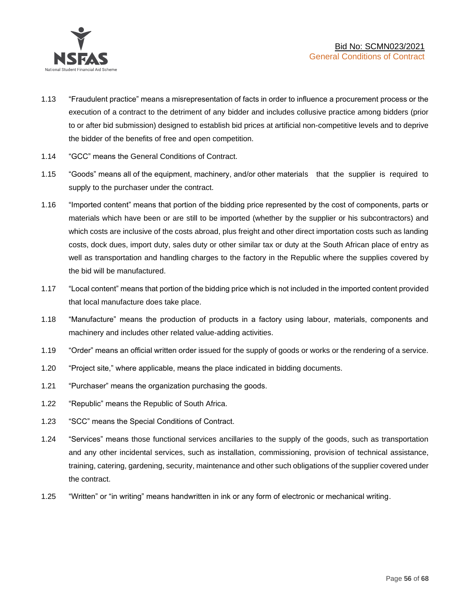

- 1.13 "Fraudulent practice" means a misrepresentation of facts in order to influence a procurement process or the execution of a contract to the detriment of any bidder and includes collusive practice among bidders (prior to or after bid submission) designed to establish bid prices at artificial non-competitive levels and to deprive the bidder of the benefits of free and open competition.
- 1.14 "GCC" means the General Conditions of Contract.
- 1.15 "Goods" means all of the equipment, machinery, and/or other materials that the supplier is required to supply to the purchaser under the contract.
- 1.16 "Imported content" means that portion of the bidding price represented by the cost of components, parts or materials which have been or are still to be imported (whether by the supplier or his subcontractors) and which costs are inclusive of the costs abroad, plus freight and other direct importation costs such as landing costs, dock dues, import duty, sales duty or other similar tax or duty at the South African place of entry as well as transportation and handling charges to the factory in the Republic where the supplies covered by the bid will be manufactured.
- 1.17 "Local content" means that portion of the bidding price which is not included in the imported content provided that local manufacture does take place.
- 1.18 "Manufacture" means the production of products in a factory using labour, materials, components and machinery and includes other related value-adding activities.
- 1.19 "Order" means an official written order issued for the supply of goods or works or the rendering of a service.
- 1.20 "Project site," where applicable, means the place indicated in bidding documents.
- 1.21 "Purchaser" means the organization purchasing the goods.
- 1.22 "Republic" means the Republic of South Africa.
- 1.23 "SCC" means the Special Conditions of Contract.
- 1.24 "Services" means those functional services ancillaries to the supply of the goods, such as transportation and any other incidental services, such as installation, commissioning, provision of technical assistance, training, catering, gardening, security, maintenance and other such obligations of the supplier covered under the contract.
- 1.25 "Written" or "in writing" means handwritten in ink or any form of electronic or mechanical writing.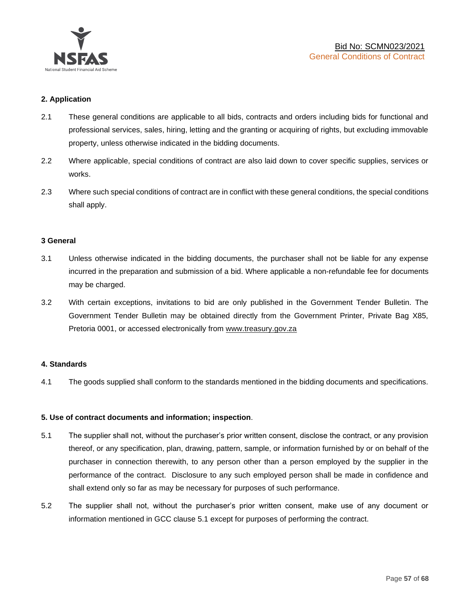

#### **2. Application**

- 2.1 These general conditions are applicable to all bids, contracts and orders including bids for functional and professional services, sales, hiring, letting and the granting or acquiring of rights, but excluding immovable property, unless otherwise indicated in the bidding documents.
- 2.2 Where applicable, special conditions of contract are also laid down to cover specific supplies, services or works.
- 2.3 Where such special conditions of contract are in conflict with these general conditions, the special conditions shall apply.

#### **3 General**

- 3.1 Unless otherwise indicated in the bidding documents, the purchaser shall not be liable for any expense incurred in the preparation and submission of a bid. Where applicable a non-refundable fee for documents may be charged.
- 3.2 With certain exceptions, invitations to bid are only published in the Government Tender Bulletin. The Government Tender Bulletin may be obtained directly from the Government Printer, Private Bag X85, Pretoria 0001, or accessed electronically from [www.treasury.gov.za](http://www.treasury.gov.za/)

#### **4. Standards**

4.1 The goods supplied shall conform to the standards mentioned in the bidding documents and specifications.

#### **5. Use of contract documents and information; inspection**.

- 5.1 The supplier shall not, without the purchaser's prior written consent, disclose the contract, or any provision thereof, or any specification, plan, drawing, pattern, sample, or information furnished by or on behalf of the purchaser in connection therewith, to any person other than a person employed by the supplier in the performance of the contract. Disclosure to any such employed person shall be made in confidence and shall extend only so far as may be necessary for purposes of such performance.
- 5.2 The supplier shall not, without the purchaser's prior written consent, make use of any document or information mentioned in GCC clause 5.1 except for purposes of performing the contract.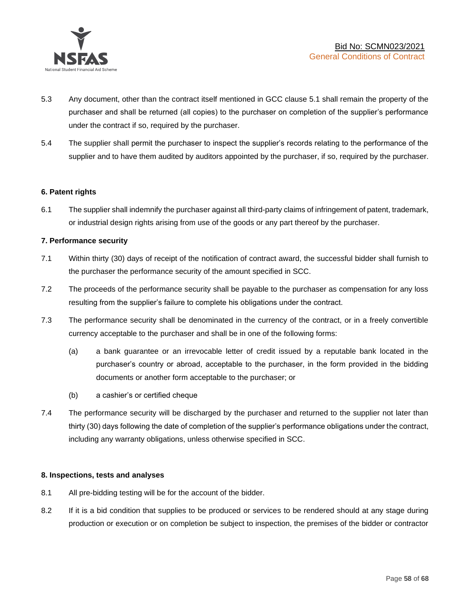

- 5.3 Any document, other than the contract itself mentioned in GCC clause 5.1 shall remain the property of the purchaser and shall be returned (all copies) to the purchaser on completion of the supplier's performance under the contract if so, required by the purchaser.
- 5.4 The supplier shall permit the purchaser to inspect the supplier's records relating to the performance of the supplier and to have them audited by auditors appointed by the purchaser, if so, required by the purchaser.

#### **6. Patent rights**

6.1 The supplier shall indemnify the purchaser against all third-party claims of infringement of patent, trademark, or industrial design rights arising from use of the goods or any part thereof by the purchaser.

#### **7. Performance security**

- 7.1 Within thirty (30) days of receipt of the notification of contract award, the successful bidder shall furnish to the purchaser the performance security of the amount specified in SCC.
- 7.2 The proceeds of the performance security shall be payable to the purchaser as compensation for any loss resulting from the supplier's failure to complete his obligations under the contract.
- 7.3 The performance security shall be denominated in the currency of the contract, or in a freely convertible currency acceptable to the purchaser and shall be in one of the following forms:
	- (a) a bank guarantee or an irrevocable letter of credit issued by a reputable bank located in the purchaser's country or abroad, acceptable to the purchaser, in the form provided in the bidding documents or another form acceptable to the purchaser; or
	- (b) a cashier's or certified cheque
- 7.4 The performance security will be discharged by the purchaser and returned to the supplier not later than thirty (30) days following the date of completion of the supplier's performance obligations under the contract, including any warranty obligations, unless otherwise specified in SCC.

#### **8. Inspections, tests and analyses**

- 8.1 All pre-bidding testing will be for the account of the bidder.
- 8.2 If it is a bid condition that supplies to be produced or services to be rendered should at any stage during production or execution or on completion be subject to inspection, the premises of the bidder or contractor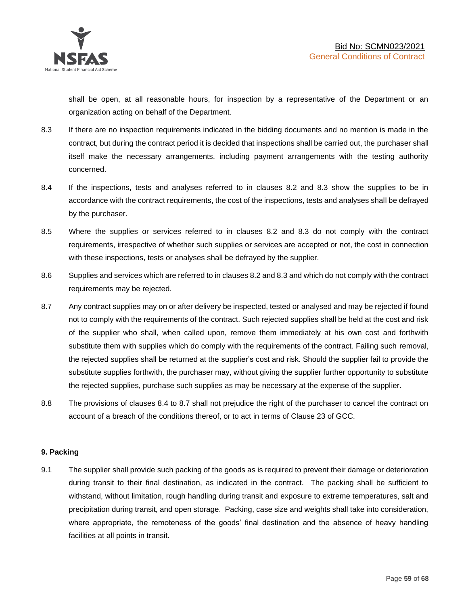shall be open, at all reasonable hours, for inspection by a representative of the Department or an organization acting on behalf of the Department.

- 8.3 If there are no inspection requirements indicated in the bidding documents and no mention is made in the contract, but during the contract period it is decided that inspections shall be carried out, the purchaser shall itself make the necessary arrangements, including payment arrangements with the testing authority concerned.
- 8.4 If the inspections, tests and analyses referred to in clauses 8.2 and 8.3 show the supplies to be in accordance with the contract requirements, the cost of the inspections, tests and analyses shall be defrayed by the purchaser.
- 8.5 Where the supplies or services referred to in clauses 8.2 and 8.3 do not comply with the contract requirements, irrespective of whether such supplies or services are accepted or not, the cost in connection with these inspections, tests or analyses shall be defrayed by the supplier.
- 8.6 Supplies and services which are referred to in clauses 8.2 and 8.3 and which do not comply with the contract requirements may be rejected.
- 8.7 Any contract supplies may on or after delivery be inspected, tested or analysed and may be rejected if found not to comply with the requirements of the contract. Such rejected supplies shall be held at the cost and risk of the supplier who shall, when called upon, remove them immediately at his own cost and forthwith substitute them with supplies which do comply with the requirements of the contract. Failing such removal, the rejected supplies shall be returned at the supplier's cost and risk. Should the supplier fail to provide the substitute supplies forthwith, the purchaser may, without giving the supplier further opportunity to substitute the rejected supplies, purchase such supplies as may be necessary at the expense of the supplier.
- 8.8 The provisions of clauses 8.4 to 8.7 shall not prejudice the right of the purchaser to cancel the contract on account of a breach of the conditions thereof, or to act in terms of Clause 23 of GCC.

#### **9. Packing**

9.1 The supplier shall provide such packing of the goods as is required to prevent their damage or deterioration during transit to their final destination, as indicated in the contract. The packing shall be sufficient to withstand, without limitation, rough handling during transit and exposure to extreme temperatures, salt and precipitation during transit, and open storage. Packing, case size and weights shall take into consideration, where appropriate, the remoteness of the goods' final destination and the absence of heavy handling facilities at all points in transit.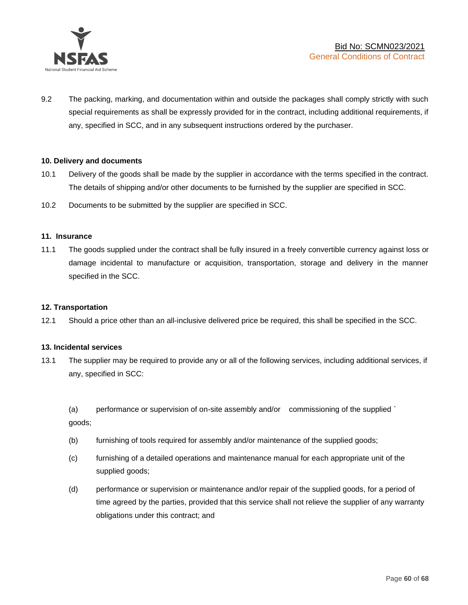

9.2 The packing, marking, and documentation within and outside the packages shall comply strictly with such special requirements as shall be expressly provided for in the contract, including additional requirements, if any, specified in SCC, and in any subsequent instructions ordered by the purchaser.

#### **10. Delivery and documents**

- 10.1 Delivery of the goods shall be made by the supplier in accordance with the terms specified in the contract. The details of shipping and/or other documents to be furnished by the supplier are specified in SCC.
- 10.2 Documents to be submitted by the supplier are specified in SCC.

#### **11. Insurance**

11.1 The goods supplied under the contract shall be fully insured in a freely convertible currency against loss or damage incidental to manufacture or acquisition, transportation, storage and delivery in the manner specified in the SCC.

#### **12. Transportation**

12.1 Should a price other than an all-inclusive delivered price be required, this shall be specified in the SCC.

#### **13. Incidental services**

13.1 The supplier may be required to provide any or all of the following services, including additional services, if any, specified in SCC:

(a) performance or supervision of on-site assembly and/or commissioning of the supplied ` goods;

- (b) furnishing of tools required for assembly and/or maintenance of the supplied goods;
- (c) furnishing of a detailed operations and maintenance manual for each appropriate unit of the supplied goods;
- (d) performance or supervision or maintenance and/or repair of the supplied goods, for a period of time agreed by the parties, provided that this service shall not relieve the supplier of any warranty obligations under this contract; and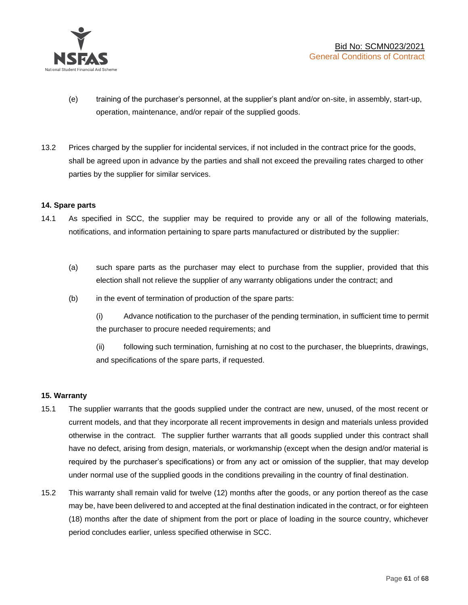

- (e) training of the purchaser's personnel, at the supplier's plant and/or on-site, in assembly, start-up, operation, maintenance, and/or repair of the supplied goods.
- 13.2 Prices charged by the supplier for incidental services, if not included in the contract price for the goods, shall be agreed upon in advance by the parties and shall not exceed the prevailing rates charged to other parties by the supplier for similar services.

#### **14. Spare parts**

- 14.1 As specified in SCC, the supplier may be required to provide any or all of the following materials, notifications, and information pertaining to spare parts manufactured or distributed by the supplier:
	- (a) such spare parts as the purchaser may elect to purchase from the supplier, provided that this election shall not relieve the supplier of any warranty obligations under the contract; and
	- (b) in the event of termination of production of the spare parts:

(i) Advance notification to the purchaser of the pending termination, in sufficient time to permit the purchaser to procure needed requirements; and

(ii) following such termination, furnishing at no cost to the purchaser, the blueprints, drawings, and specifications of the spare parts, if requested.

#### **15. Warranty**

- 15.1 The supplier warrants that the goods supplied under the contract are new, unused, of the most recent or current models, and that they incorporate all recent improvements in design and materials unless provided otherwise in the contract. The supplier further warrants that all goods supplied under this contract shall have no defect, arising from design, materials, or workmanship (except when the design and/or material is required by the purchaser's specifications) or from any act or omission of the supplier, that may develop under normal use of the supplied goods in the conditions prevailing in the country of final destination.
- 15.2 This warranty shall remain valid for twelve (12) months after the goods, or any portion thereof as the case may be, have been delivered to and accepted at the final destination indicated in the contract, or for eighteen (18) months after the date of shipment from the port or place of loading in the source country, whichever period concludes earlier, unless specified otherwise in SCC.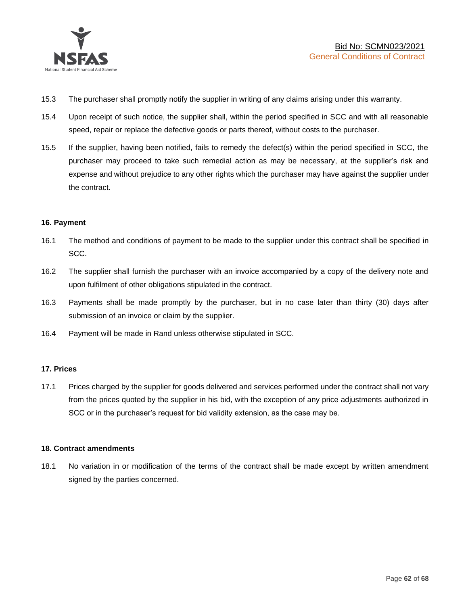

- 15.3 The purchaser shall promptly notify the supplier in writing of any claims arising under this warranty.
- 15.4 Upon receipt of such notice, the supplier shall, within the period specified in SCC and with all reasonable speed, repair or replace the defective goods or parts thereof, without costs to the purchaser.
- 15.5 If the supplier, having been notified, fails to remedy the defect(s) within the period specified in SCC, the purchaser may proceed to take such remedial action as may be necessary, at the supplier's risk and expense and without prejudice to any other rights which the purchaser may have against the supplier under the contract.

#### **16. Payment**

- 16.1 The method and conditions of payment to be made to the supplier under this contract shall be specified in SCC.
- 16.2 The supplier shall furnish the purchaser with an invoice accompanied by a copy of the delivery note and upon fulfilment of other obligations stipulated in the contract.
- 16.3 Payments shall be made promptly by the purchaser, but in no case later than thirty (30) days after submission of an invoice or claim by the supplier.
- 16.4 Payment will be made in Rand unless otherwise stipulated in SCC.

#### **17. Prices**

17.1 Prices charged by the supplier for goods delivered and services performed under the contract shall not vary from the prices quoted by the supplier in his bid, with the exception of any price adjustments authorized in SCC or in the purchaser's request for bid validity extension, as the case may be.

#### **18. Contract amendments**

18.1 No variation in or modification of the terms of the contract shall be made except by written amendment signed by the parties concerned.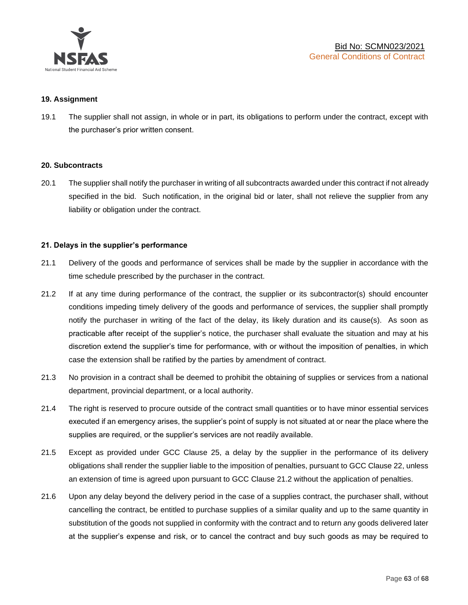

#### **19. Assignment**

19.1 The supplier shall not assign, in whole or in part, its obligations to perform under the contract, except with the purchaser's prior written consent.

#### **20. Subcontracts**

20.1 The supplier shall notify the purchaser in writing of all subcontracts awarded under this contract if not already specified in the bid. Such notification, in the original bid or later, shall not relieve the supplier from any liability or obligation under the contract.

#### **21. Delays in the supplier's performance**

- 21.1 Delivery of the goods and performance of services shall be made by the supplier in accordance with the time schedule prescribed by the purchaser in the contract.
- 21.2 If at any time during performance of the contract, the supplier or its subcontractor(s) should encounter conditions impeding timely delivery of the goods and performance of services, the supplier shall promptly notify the purchaser in writing of the fact of the delay, its likely duration and its cause(s). As soon as practicable after receipt of the supplier's notice, the purchaser shall evaluate the situation and may at his discretion extend the supplier's time for performance, with or without the imposition of penalties, in which case the extension shall be ratified by the parties by amendment of contract.
- 21.3 No provision in a contract shall be deemed to prohibit the obtaining of supplies or services from a national department, provincial department, or a local authority.
- 21.4 The right is reserved to procure outside of the contract small quantities or to have minor essential services executed if an emergency arises, the supplier's point of supply is not situated at or near the place where the supplies are required, or the supplier's services are not readily available.
- 21.5 Except as provided under GCC Clause 25, a delay by the supplier in the performance of its delivery obligations shall render the supplier liable to the imposition of penalties, pursuant to GCC Clause 22, unless an extension of time is agreed upon pursuant to GCC Clause 21.2 without the application of penalties.
- 21.6 Upon any delay beyond the delivery period in the case of a supplies contract, the purchaser shall, without cancelling the contract, be entitled to purchase supplies of a similar quality and up to the same quantity in substitution of the goods not supplied in conformity with the contract and to return any goods delivered later at the supplier's expense and risk, or to cancel the contract and buy such goods as may be required to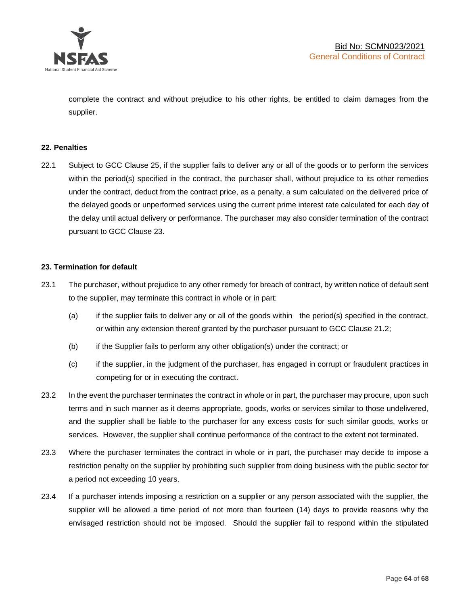

complete the contract and without prejudice to his other rights, be entitled to claim damages from the supplier.

#### **22. Penalties**

22.1 Subject to GCC Clause 25, if the supplier fails to deliver any or all of the goods or to perform the services within the period(s) specified in the contract, the purchaser shall, without prejudice to its other remedies under the contract, deduct from the contract price, as a penalty, a sum calculated on the delivered price of the delayed goods or unperformed services using the current prime interest rate calculated for each day of the delay until actual delivery or performance. The purchaser may also consider termination of the contract pursuant to GCC Clause 23.

#### **23. Termination for default**

- 23.1 The purchaser, without prejudice to any other remedy for breach of contract, by written notice of default sent to the supplier, may terminate this contract in whole or in part:
	- (a) if the supplier fails to deliver any or all of the goods within the period(s) specified in the contract, or within any extension thereof granted by the purchaser pursuant to GCC Clause 21.2;
	- (b) if the Supplier fails to perform any other obligation(s) under the contract; or
	- (c) if the supplier, in the judgment of the purchaser, has engaged in corrupt or fraudulent practices in competing for or in executing the contract.
- 23.2 In the event the purchaser terminates the contract in whole or in part, the purchaser may procure, upon such terms and in such manner as it deems appropriate, goods, works or services similar to those undelivered, and the supplier shall be liable to the purchaser for any excess costs for such similar goods, works or services. However, the supplier shall continue performance of the contract to the extent not terminated.
- 23.3 Where the purchaser terminates the contract in whole or in part, the purchaser may decide to impose a restriction penalty on the supplier by prohibiting such supplier from doing business with the public sector for a period not exceeding 10 years.
- 23.4 If a purchaser intends imposing a restriction on a supplier or any person associated with the supplier, the supplier will be allowed a time period of not more than fourteen (14) days to provide reasons why the envisaged restriction should not be imposed. Should the supplier fail to respond within the stipulated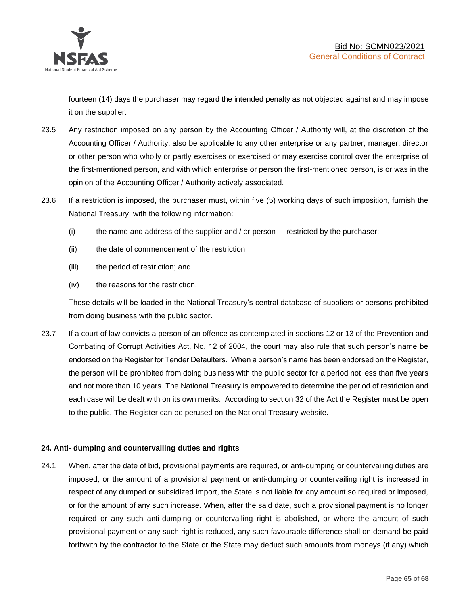

fourteen (14) days the purchaser may regard the intended penalty as not objected against and may impose it on the supplier.

- 23.5 Any restriction imposed on any person by the Accounting Officer / Authority will, at the discretion of the Accounting Officer / Authority, also be applicable to any other enterprise or any partner, manager, director or other person who wholly or partly exercises or exercised or may exercise control over the enterprise of the first-mentioned person, and with which enterprise or person the first-mentioned person, is or was in the opinion of the Accounting Officer / Authority actively associated.
- 23.6 If a restriction is imposed, the purchaser must, within five (5) working days of such imposition, furnish the National Treasury, with the following information:
	- (i) the name and address of the supplier and / or person restricted by the purchaser;
	- (ii) the date of commencement of the restriction
	- (iii) the period of restriction; and
	- (iv) the reasons for the restriction.

These details will be loaded in the National Treasury's central database of suppliers or persons prohibited from doing business with the public sector.

23.7 If a court of law convicts a person of an offence as contemplated in sections 12 or 13 of the Prevention and Combating of Corrupt Activities Act, No. 12 of 2004, the court may also rule that such person's name be endorsed on the Register for Tender Defaulters. When a person's name has been endorsed on the Register, the person will be prohibited from doing business with the public sector for a period not less than five years and not more than 10 years. The National Treasury is empowered to determine the period of restriction and each case will be dealt with on its own merits. According to section 32 of the Act the Register must be open to the public. The Register can be perused on the National Treasury website.

#### **24. Anti- dumping and countervailing duties and rights**

24.1 When, after the date of bid, provisional payments are required, or anti-dumping or countervailing duties are imposed, or the amount of a provisional payment or anti-dumping or countervailing right is increased in respect of any dumped or subsidized import, the State is not liable for any amount so required or imposed, or for the amount of any such increase. When, after the said date, such a provisional payment is no longer required or any such anti-dumping or countervailing right is abolished, or where the amount of such provisional payment or any such right is reduced, any such favourable difference shall on demand be paid forthwith by the contractor to the State or the State may deduct such amounts from moneys (if any) which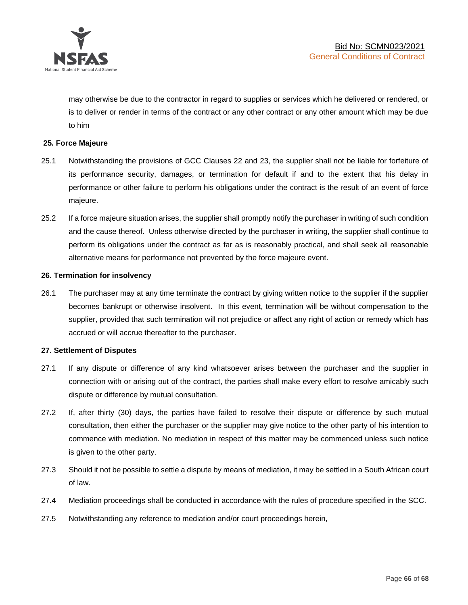

may otherwise be due to the contractor in regard to supplies or services which he delivered or rendered, or is to deliver or render in terms of the contract or any other contract or any other amount which may be due to him

#### **25. Force Majeure**

- 25.1 Notwithstanding the provisions of GCC Clauses 22 and 23, the supplier shall not be liable for forfeiture of its performance security, damages, or termination for default if and to the extent that his delay in performance or other failure to perform his obligations under the contract is the result of an event of force majeure.
- 25.2 If a force majeure situation arises, the supplier shall promptly notify the purchaser in writing of such condition and the cause thereof. Unless otherwise directed by the purchaser in writing, the supplier shall continue to perform its obligations under the contract as far as is reasonably practical, and shall seek all reasonable alternative means for performance not prevented by the force majeure event.

#### **26. Termination for insolvency**

26.1 The purchaser may at any time terminate the contract by giving written notice to the supplier if the supplier becomes bankrupt or otherwise insolvent. In this event, termination will be without compensation to the supplier, provided that such termination will not prejudice or affect any right of action or remedy which has accrued or will accrue thereafter to the purchaser.

#### **27. Settlement of Disputes**

- 27.1 If any dispute or difference of any kind whatsoever arises between the purchaser and the supplier in connection with or arising out of the contract, the parties shall make every effort to resolve amicably such dispute or difference by mutual consultation.
- 27.2 If, after thirty (30) days, the parties have failed to resolve their dispute or difference by such mutual consultation, then either the purchaser or the supplier may give notice to the other party of his intention to commence with mediation. No mediation in respect of this matter may be commenced unless such notice is given to the other party.
- 27.3 Should it not be possible to settle a dispute by means of mediation, it may be settled in a South African court of law.
- 27.4 Mediation proceedings shall be conducted in accordance with the rules of procedure specified in the SCC.
- 27.5 Notwithstanding any reference to mediation and/or court proceedings herein,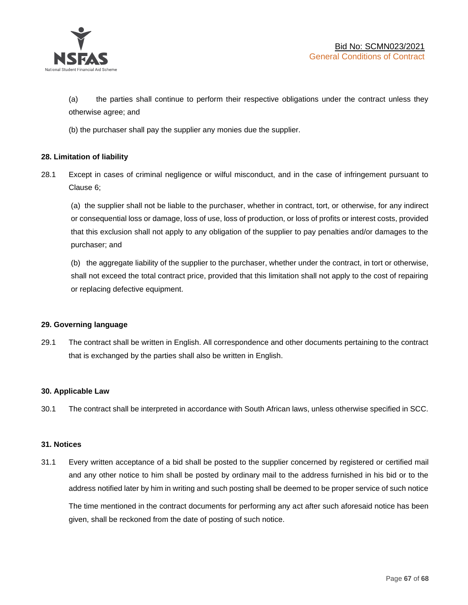

(a) the parties shall continue to perform their respective obligations under the contract unless they otherwise agree; and

(b) the purchaser shall pay the supplier any monies due the supplier.

#### **28. Limitation of liability**

28.1 Except in cases of criminal negligence or wilful misconduct, and in the case of infringement pursuant to Clause 6;

(a) the supplier shall not be liable to the purchaser, whether in contract, tort, or otherwise, for any indirect or consequential loss or damage, loss of use, loss of production, or loss of profits or interest costs, provided that this exclusion shall not apply to any obligation of the supplier to pay penalties and/or damages to the purchaser; and

(b) the aggregate liability of the supplier to the purchaser, whether under the contract, in tort or otherwise, shall not exceed the total contract price, provided that this limitation shall not apply to the cost of repairing or replacing defective equipment.

#### **29. Governing language**

29.1 The contract shall be written in English. All correspondence and other documents pertaining to the contract that is exchanged by the parties shall also be written in English.

#### **30. Applicable Law**

30.1 The contract shall be interpreted in accordance with South African laws, unless otherwise specified in SCC.

#### **31. Notices**

31.1 Every written acceptance of a bid shall be posted to the supplier concerned by registered or certified mail and any other notice to him shall be posted by ordinary mail to the address furnished in his bid or to the address notified later by him in writing and such posting shall be deemed to be proper service of such notice

The time mentioned in the contract documents for performing any act after such aforesaid notice has been given, shall be reckoned from the date of posting of such notice.